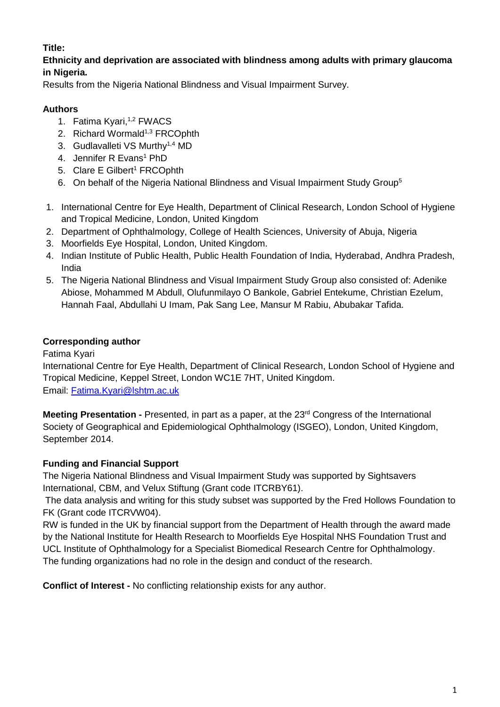# **Title:**

# **Ethnicity and deprivation are associated with blindness among adults with primary glaucoma in Nigeria.**

Results from the Nigeria National Blindness and Visual Impairment Survey.

# **Authors**

- 1. Fatima Kyari,<sup>1,2</sup> FWACS
- 2. Richard Wormald<sup>1,3</sup> FRCOphth
- 3. Gudlavalleti VS Murthv<sup>1,4</sup> MD
- 4. Jennifer R Evans<sup>1</sup> PhD
- 5. Clare E Gilbert<sup>1</sup> FRCOphth
- 6. On behalf of the Nigeria National Blindness and Visual Impairment Study Group<sup>5</sup>
- 1. International Centre for Eye Health, Department of Clinical Research, London School of Hygiene and Tropical Medicine, London, United Kingdom
- 2. Department of Ophthalmology, College of Health Sciences, University of Abuja, Nigeria
- 3. Moorfields Eye Hospital, London, United Kingdom.
- 4. Indian Institute of Public Health, Public Health Foundation of India, Hyderabad, Andhra Pradesh, India
- 5. The Nigeria National Blindness and Visual Impairment Study Group also consisted of: Adenike Abiose, Mohammed M Abdull, Olufunmilayo O Bankole, Gabriel Entekume, Christian Ezelum, Hannah Faal, Abdullahi U Imam, Pak Sang Lee, Mansur M Rabiu, Abubakar Tafida.

# **Corresponding author**

Fatima Kyari

International Centre for Eye Health, Department of Clinical Research, London School of Hygiene and Tropical Medicine, Keppel Street, London WC1E 7HT, United Kingdom. Email: [Fatima.Kyari@lshtm.ac.uk](mailto:Fatima.Kyari@lshtm.ac.uk)

**Meeting Presentation -** Presented, in part as a paper, at the 23<sup>rd</sup> Congress of the International Society of Geographical and Epidemiological Ophthalmology (ISGEO), London, United Kingdom, September 2014.

# **Funding and Financial Support**

The Nigeria National Blindness and Visual Impairment Study was supported by Sightsavers International, CBM, and Velux Stiftung (Grant code ITCRBY61).

The data analysis and writing for this study subset was supported by the Fred Hollows Foundation to FK (Grant code ITCRVW04).

RW is funded in the UK by financial support from the Department of Health through the award made by the National Institute for Health Research to Moorfields Eye Hospital NHS Foundation Trust and UCL Institute of Ophthalmology for a Specialist Biomedical Research Centre for Ophthalmology. The funding organizations had no role in the design and conduct of the research.

**Conflict of Interest -** No conflicting relationship exists for any author.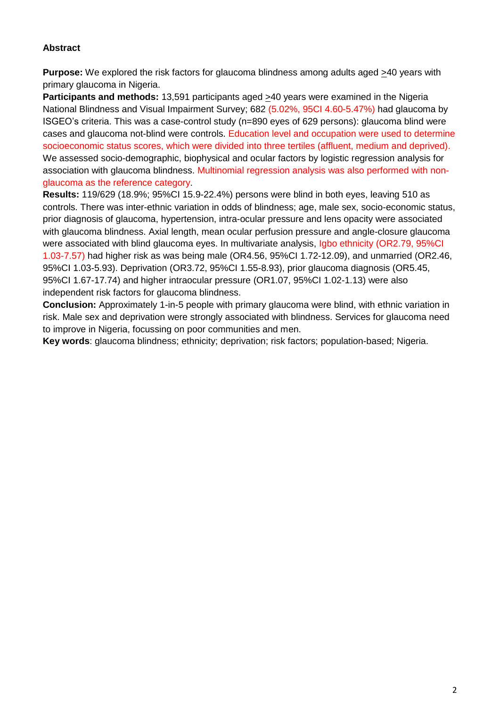# **Abstract**

**Purpose:** We explored the risk factors for glaucoma blindness among adults aged >40 years with primary glaucoma in Nigeria.

**Participants and methods:** 13,591 participants aged >40 years were examined in the Nigeria National Blindness and Visual Impairment Survey; 682 (5.02%, 95CI 4.60-5.47%) had glaucoma by ISGEO's criteria. This was a case-control study (n=890 eyes of 629 persons): glaucoma blind were cases and glaucoma not-blind were controls. Education level and occupation were used to determine socioeconomic status scores, which were divided into three tertiles (affluent, medium and deprived). We assessed socio-demographic, biophysical and ocular factors by logistic regression analysis for association with glaucoma blindness. Multinomial regression analysis was also performed with nonglaucoma as the reference category.

**Results:** 119/629 (18.9%; 95%CI 15.9-22.4%) persons were blind in both eyes, leaving 510 as controls. There was inter-ethnic variation in odds of blindness; age, male sex, socio-economic status, prior diagnosis of glaucoma, hypertension, intra-ocular pressure and lens opacity were associated with glaucoma blindness. Axial length, mean ocular perfusion pressure and angle-closure glaucoma were associated with blind glaucoma eyes. In multivariate analysis, Igbo ethnicity (OR2.79, 95%CI 1.03-7.57) had higher risk as was being male (OR4.56, 95%CI 1.72-12.09), and unmarried (OR2.46, 95%CI 1.03-5.93). Deprivation (OR3.72, 95%CI 1.55-8.93), prior glaucoma diagnosis (OR5.45, 95%CI 1.67-17.74) and higher intraocular pressure (OR1.07, 95%CI 1.02-1.13) were also independent risk factors for glaucoma blindness.

**Conclusion:** Approximately 1-in-5 people with primary glaucoma were blind, with ethnic variation in risk. Male sex and deprivation were strongly associated with blindness. Services for glaucoma need to improve in Nigeria, focussing on poor communities and men.

**Key words**: glaucoma blindness; ethnicity; deprivation; risk factors; population-based; Nigeria.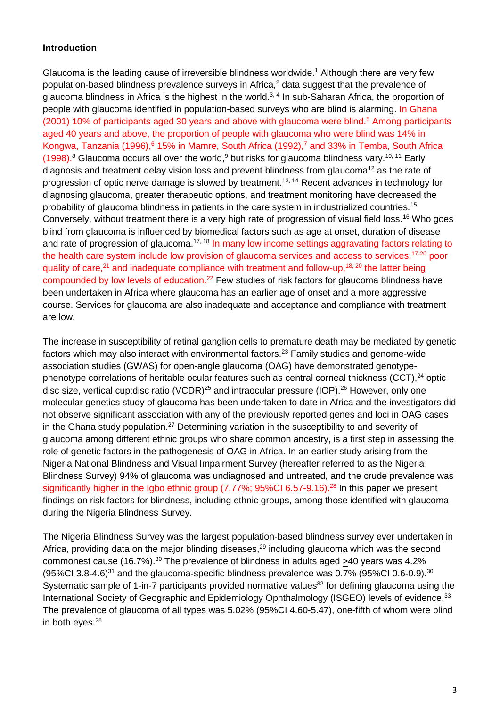#### **Introduction**

Glaucoma is the leading cause of irreversible blindness worldwide.<sup>1</sup> Although there are very few population-based blindness prevalence surveys in Africa, $<sup>2</sup>$  data suggest that the prevalence of</sup> glaucoma blindness in Africa is the highest in the world.<sup>3, 4</sup> In sub-Saharan Africa, the proportion of people with glaucoma identified in population-based surveys who are blind is alarming. In Ghana (2001) 10% of participants aged 30 years and above with glaucoma were blind.<sup>5</sup> Among participants aged 40 years and above, the proportion of people with glaucoma who were blind was 14% in Kongwa, Tanzania (1996),  $6$  15% in Mamre, South Africa (1992),  $7$  and 33% in Temba, South Africa (1998).<sup>8</sup> Glaucoma occurs all over the world, but risks for glaucoma blindness vary.<sup>10, 11</sup> Early diagnosis and treatment delay vision loss and prevent blindness from glaucoma<sup>12</sup> as the rate of progression of optic nerve damage is slowed by treatment.<sup>13, 14</sup> Recent advances in technology for diagnosing glaucoma, greater therapeutic options, and treatment monitoring have decreased the probability of glaucoma blindness in patients in the care system in industrialized countries.<sup>15</sup> Conversely, without treatment there is a very high rate of progression of visual field loss.<sup>16</sup> Who goes blind from glaucoma is influenced by biomedical factors such as age at onset, duration of disease and rate of progression of glaucoma.<sup>17, 18</sup> In many low income settings aggravating factors relating to the health care system include low provision of glaucoma services and access to services,<sup>17-20</sup> poor quality of care,  $21$  and inadequate compliance with treatment and follow-up,  $18, 20$  the latter being compounded by low levels of education.<sup>22</sup> Few studies of risk factors for glaucoma blindness have been undertaken in Africa where glaucoma has an earlier age of onset and a more aggressive course. Services for glaucoma are also inadequate and acceptance and compliance with treatment are low.

The increase in susceptibility of retinal ganglion cells to premature death may be mediated by genetic factors which may also interact with environmental factors.<sup>23</sup> Family studies and genome-wide association studies (GWAS) for open-angle glaucoma (OAG) have demonstrated genotypephenotype correlations of heritable ocular features such as central corneal thickness (CCT),<sup>24</sup> optic disc size, vertical cup: disc ratio (VCDR)<sup>25</sup> and intraocular pressure (IOP).<sup>26</sup> However, only one molecular genetics study of glaucoma has been undertaken to date in Africa and the investigators did not observe significant association with any of the previously reported genes and loci in OAG cases in the Ghana study population.<sup>27</sup> Determining variation in the susceptibility to and severity of glaucoma among different ethnic groups who share common ancestry, is a first step in assessing the role of genetic factors in the pathogenesis of OAG in Africa. In an earlier study arising from the Nigeria National Blindness and Visual Impairment Survey (hereafter referred to as the Nigeria Blindness Survey) 94% of glaucoma was undiagnosed and untreated, and the crude prevalence was significantly higher in the Igbo ethnic group (7.77%; 95%CI 6.57-9.16).<sup>28</sup> In this paper we present findings on risk factors for blindness, including ethnic groups, among those identified with glaucoma during the Nigeria Blindness Survey.

The Nigeria Blindness Survey was the largest population-based blindness survey ever undertaken in Africa, providing data on the major blinding diseases, $^{29}$  including glaucoma which was the second commonest cause (16.7%).<sup>30</sup> The prevalence of blindness in adults aged >40 years was 4.2%  $(95\%$ Cl 3.8-4.6)<sup>31</sup> and the glaucoma-specific blindness prevalence was 0.7% (95%Cl 0.6-0.9).<sup>30</sup> Systematic sample of 1-in-7 participants provided normative values<sup>32</sup> for defining glaucoma using the International Society of Geographic and Epidemiology Ophthalmology (ISGEO) levels of evidence.<sup>33</sup> The prevalence of glaucoma of all types was 5.02% (95%CI 4.60-5.47), one-fifth of whom were blind in both eyes.<sup>28</sup>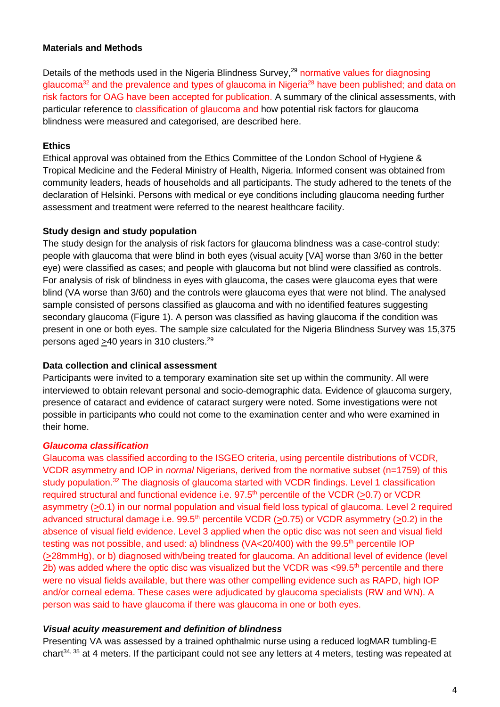#### **Materials and Methods**

Details of the methods used in the Nigeria Blindness Survey,<sup>29</sup> normative values for diagnosing glaucoma<sup>32</sup> and the prevalence and types of glaucoma in Nigeria<sup>28</sup> have been published; and data on risk factors for OAG have been accepted for publication. A summary of the clinical assessments, with particular reference to classification of glaucoma and how potential risk factors for glaucoma blindness were measured and categorised, are described here.

#### **Ethics**

Ethical approval was obtained from the Ethics Committee of the London School of Hygiene & Tropical Medicine and the Federal Ministry of Health, Nigeria. Informed consent was obtained from community leaders, heads of households and all participants. The study adhered to the tenets of the declaration of Helsinki. Persons with medical or eye conditions including glaucoma needing further assessment and treatment were referred to the nearest healthcare facility.

#### **Study design and study population**

The study design for the analysis of risk factors for glaucoma blindness was a case-control study: people with glaucoma that were blind in both eyes (visual acuity [VA] worse than 3/60 in the better eye) were classified as cases; and people with glaucoma but not blind were classified as controls. For analysis of risk of blindness in eyes with glaucoma, the cases were glaucoma eyes that were blind (VA worse than 3/60) and the controls were glaucoma eyes that were not blind. The analysed sample consisted of persons classified as glaucoma and with no identified features suggesting secondary glaucoma (Figure 1). A person was classified as having glaucoma if the condition was present in one or both eyes. The sample size calculated for the Nigeria Blindness Survey was 15,375 persons aged >40 years in 310 clusters.<sup>29</sup>

#### **Data collection and clinical assessment**

Participants were invited to a temporary examination site set up within the community. All were interviewed to obtain relevant personal and socio-demographic data. Evidence of glaucoma surgery, presence of cataract and evidence of cataract surgery were noted. Some investigations were not possible in participants who could not come to the examination center and who were examined in their home.

#### *Glaucoma classification*

Glaucoma was classified according to the ISGEO criteria, using percentile distributions of VCDR, VCDR asymmetry and IOP in *normal* Nigerians, derived from the normative subset (n=1759) of this study population.<sup>32</sup> The diagnosis of glaucoma started with VCDR findings. Level 1 classification required structural and functional evidence i.e.  $97.5<sup>th</sup>$  percentile of the VCDR (>0.7) or VCDR asymmetry (>0.1) in our normal population and visual field loss typical of glaucoma. Level 2 required advanced structural damage i.e.  $99.5<sup>th</sup>$  percentile VCDR (>0.75) or VCDR asymmetry (>0.2) in the absence of visual field evidence. Level 3 applied when the optic disc was not seen and visual field testing was not possible, and used: a) blindness ( $VA < 20/400$ ) with the 99.5<sup>th</sup> percentile IOP (>28mmHg), or b) diagnosed with/being treated for glaucoma. An additional level of evidence (level 2b) was added where the optic disc was visualized but the VCDR was  $<99.5<sup>th</sup>$  percentile and there were no visual fields available, but there was other compelling evidence such as RAPD, high IOP and/or corneal edema. These cases were adjudicated by glaucoma specialists (RW and WN). A person was said to have glaucoma if there was glaucoma in one or both eyes.

#### *Visual acuity measurement and definition of blindness*

Presenting VA was assessed by a trained ophthalmic nurse using a reduced logMAR tumbling-E chart<sup>34, 35</sup> at 4 meters. If the participant could not see any letters at 4 meters, testing was repeated at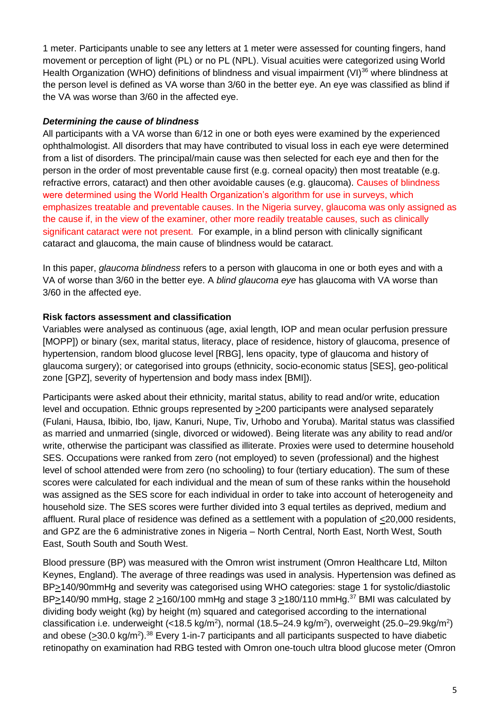1 meter. Participants unable to see any letters at 1 meter were assessed for counting fingers, hand movement or perception of light (PL) or no PL (NPL). Visual acuities were categorized using World Health Organization (WHO) definitions of blindness and visual impairment (VI)<sup>36</sup> where blindness at the person level is defined as VA worse than 3/60 in the better eye. An eye was classified as blind if the VA was worse than 3/60 in the affected eye.

### *Determining the cause of blindness*

All participants with a VA worse than 6/12 in one or both eyes were examined by the experienced ophthalmologist. All disorders that may have contributed to visual loss in each eye were determined from a list of disorders. The principal/main cause was then selected for each eye and then for the person in the order of most preventable cause first (e.g. corneal opacity) then most treatable (e.g. refractive errors, cataract) and then other avoidable causes (e.g. glaucoma). Causes of blindness were determined using the World Health Organization's algorithm for use in surveys, which emphasizes treatable and preventable causes. In the Nigeria survey, glaucoma was only assigned as the cause if, in the view of the examiner, other more readily treatable causes, such as clinically significant cataract were not present. For example, in a blind person with clinically significant cataract and glaucoma, the main cause of blindness would be cataract.

In this paper, *glaucoma blindness* refers to a person with glaucoma in one or both eyes and with a VA of worse than 3/60 in the better eye. A *blind glaucoma eye* has glaucoma with VA worse than 3/60 in the affected eye.

### **Risk factors assessment and classification**

Variables were analysed as continuous (age, axial length, IOP and mean ocular perfusion pressure [MOPP]) or binary (sex, marital status, literacy, place of residence, history of glaucoma, presence of hypertension, random blood glucose level [RBG], lens opacity, type of glaucoma and history of glaucoma surgery); or categorised into groups (ethnicity, socio-economic status [SES], geo-political zone [GPZ], severity of hypertension and body mass index [BMI]).

Participants were asked about their ethnicity, marital status, ability to read and/or write, education level and occupation. Ethnic groups represented by >200 participants were analysed separately (Fulani, Hausa, Ibibio, Ibo, Ijaw, Kanuri, Nupe, Tiv, Urhobo and Yoruba). Marital status was classified as married and unmarried (single, divorced or widowed). Being literate was any ability to read and/or write, otherwise the participant was classified as illiterate. Proxies were used to determine household SES. Occupations were ranked from zero (not employed) to seven (professional) and the highest level of school attended were from zero (no schooling) to four (tertiary education). The sum of these scores were calculated for each individual and the mean of sum of these ranks within the household was assigned as the SES score for each individual in order to take into account of heterogeneity and household size. The SES scores were further divided into 3 equal tertiles as deprived, medium and affluent. Rural place of residence was defined as a settlement with a population of <20,000 residents, and GPZ are the 6 administrative zones in Nigeria – North Central, North East, North West, South East, South South and South West.

Blood pressure (BP) was measured with the Omron wrist instrument (Omron Healthcare Ltd, Milton Keynes, England). The average of three readings was used in analysis. Hypertension was defined as BP>140/90mmHg and severity was categorised using WHO categories: stage 1 for systolic/diastolic BP $\geq$ 140/90 mmHg, stage 2  $\geq$ 160/100 mmHg and stage 3  $\geq$ 180/110 mmHg.<sup>37</sup> BMI was calculated by dividing body weight (kg) by height (m) squared and categorised according to the international classification i.e. underweight (<18.5 kg/m<sup>2</sup>), normal (18.5–24.9 kg/m<sup>2</sup>), overweight (25.0–29.9kg/m<sup>2</sup>) and obese  $(230.0 \text{ kg/m}^2)$ .<sup>38</sup> Every 1-in-7 participants and all participants suspected to have diabetic retinopathy on examination had RBG tested with Omron one-touch ultra blood glucose meter (Omron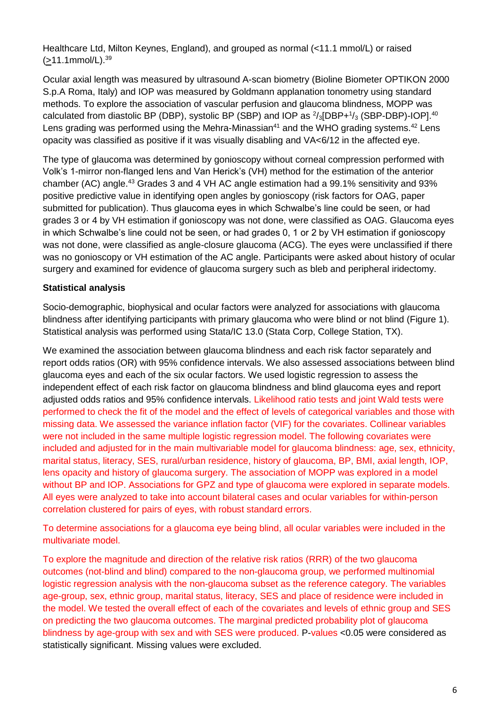Healthcare Ltd, Milton Keynes, England), and grouped as normal (<11.1 mmol/L) or raised  $($ >11.1mmol/L). $^{39}$ 

Ocular axial length was measured by ultrasound A-scan biometry (Bioline Biometer OPTIKON 2000 S.p.A Roma, Italy) and IOP was measured by Goldmann applanation tonometry using standard methods. To explore the association of vascular perfusion and glaucoma blindness, MOPP was calculated from diastolic BP (DBP), systolic BP (SBP) and IOP as  $\frac{2}{3}$ [DBP+ $\frac{1}{3}$  (SBP-DBP)-IOP].<sup>40</sup> Lens grading was performed using the Mehra-Minassian<sup>41</sup> and the WHO grading systems.<sup>42</sup> Lens opacity was classified as positive if it was visually disabling and VA<6/12 in the affected eye.

The type of glaucoma was determined by gonioscopy without corneal compression performed with Volk's 1-mirror non-flanged lens and Van Herick's (VH) method for the estimation of the anterior chamber (AC) angle.<sup>43</sup> Grades 3 and 4 VH AC angle estimation had a 99.1% sensitivity and 93% positive predictive value in identifying open angles by gonioscopy (risk factors for OAG, paper submitted for publication). Thus glaucoma eyes in which Schwalbe's line could be seen, or had grades 3 or 4 by VH estimation if gonioscopy was not done, were classified as OAG. Glaucoma eyes in which Schwalbe's line could not be seen, or had grades 0, 1 or 2 by VH estimation if gonioscopy was not done, were classified as angle-closure glaucoma (ACG). The eyes were unclassified if there was no gonioscopy or VH estimation of the AC angle. Participants were asked about history of ocular surgery and examined for evidence of glaucoma surgery such as bleb and peripheral iridectomy.

# **Statistical analysis**

Socio-demographic, biophysical and ocular factors were analyzed for associations with glaucoma blindness after identifying participants with primary glaucoma who were blind or not blind (Figure 1). Statistical analysis was performed using Stata/IC 13.0 (Stata Corp, College Station, TX).

We examined the association between glaucoma blindness and each risk factor separately and report odds ratios (OR) with 95% confidence intervals. We also assessed associations between blind glaucoma eyes and each of the six ocular factors. We used logistic regression to assess the independent effect of each risk factor on glaucoma blindness and blind glaucoma eyes and report adjusted odds ratios and 95% confidence intervals. Likelihood ratio tests and joint Wald tests were performed to check the fit of the model and the effect of levels of categorical variables and those with missing data. We assessed the variance inflation factor (VIF) for the covariates. Collinear variables were not included in the same multiple logistic regression model. The following covariates were included and adjusted for in the main multivariable model for glaucoma blindness: age, sex, ethnicity, marital status, literacy, SES, rural/urban residence, history of glaucoma, BP, BMI, axial length, IOP, lens opacity and history of glaucoma surgery. The association of MOPP was explored in a model without BP and IOP. Associations for GPZ and type of glaucoma were explored in separate models. All eyes were analyzed to take into account bilateral cases and ocular variables for within-person correlation clustered for pairs of eyes, with robust standard errors.

To determine associations for a glaucoma eye being blind, all ocular variables were included in the multivariate model.

To explore the magnitude and direction of the relative risk ratios (RRR) of the two glaucoma outcomes (not-blind and blind) compared to the non-glaucoma group, we performed multinomial logistic regression analysis with the non-glaucoma subset as the reference category. The variables age-group, sex, ethnic group, marital status, literacy, SES and place of residence were included in the model. We tested the overall effect of each of the covariates and levels of ethnic group and SES on predicting the two glaucoma outcomes. The marginal predicted probability plot of glaucoma blindness by age-group with sex and with SES were produced. P-values <0.05 were considered as statistically significant. Missing values were excluded.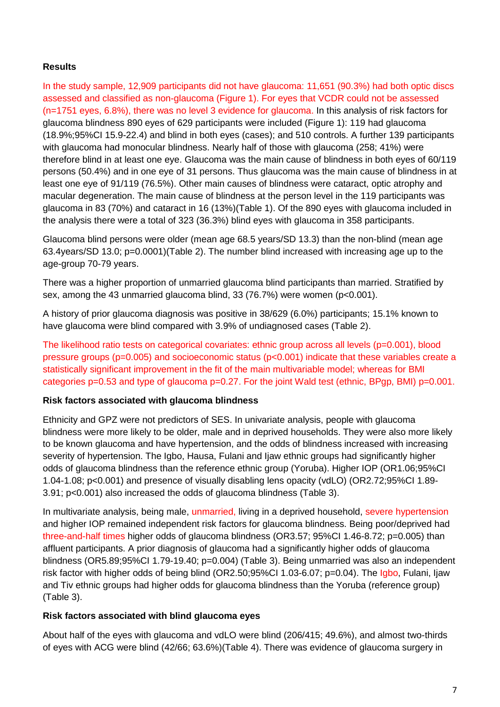# **Results**

In the study sample, 12,909 participants did not have glaucoma: 11,651 (90.3%) had both optic discs assessed and classified as non-glaucoma (Figure 1). For eyes that VCDR could not be assessed (n=1751 eyes, 6.8%), there was no level 3 evidence for glaucoma. In this analysis of risk factors for glaucoma blindness 890 eyes of 629 participants were included (Figure 1): 119 had glaucoma (18.9%;95%CI 15.9-22.4) and blind in both eyes (cases); and 510 controls. A further 139 participants with glaucoma had monocular blindness. Nearly half of those with glaucoma (258; 41%) were therefore blind in at least one eye. Glaucoma was the main cause of blindness in both eyes of 60/119 persons (50.4%) and in one eye of 31 persons. Thus glaucoma was the main cause of blindness in at least one eye of 91/119 (76.5%). Other main causes of blindness were cataract, optic atrophy and macular degeneration. The main cause of blindness at the person level in the 119 participants was glaucoma in 83 (70%) and cataract in 16 (13%)(Table 1). Of the 890 eyes with glaucoma included in the analysis there were a total of 323 (36.3%) blind eyes with glaucoma in 358 participants.

Glaucoma blind persons were older (mean age 68.5 years/SD 13.3) than the non-blind (mean age 63.4years/SD 13.0; p=0.0001)(Table 2). The number blind increased with increasing age up to the age-group 70-79 years.

There was a higher proportion of unmarried glaucoma blind participants than married. Stratified by sex, among the 43 unmarried glaucoma blind, 33 (76.7%) were women (p<0.001).

A history of prior glaucoma diagnosis was positive in 38/629 (6.0%) participants; 15.1% known to have glaucoma were blind compared with 3.9% of undiagnosed cases (Table 2).

The likelihood ratio tests on categorical covariates: ethnic group across all levels (p=0.001), blood pressure groups (p=0.005) and socioeconomic status (p<0.001) indicate that these variables create a statistically significant improvement in the fit of the main multivariable model; whereas for BMI categories  $p=0.53$  and type of glaucoma  $p=0.27$ . For the joint Wald test (ethnic, BPgp, BMI)  $p=0.001$ .

### **Risk factors associated with glaucoma blindness**

Ethnicity and GPZ were not predictors of SES. In univariate analysis, people with glaucoma blindness were more likely to be older, male and in deprived households. They were also more likely to be known glaucoma and have hypertension, and the odds of blindness increased with increasing severity of hypertension. The Igbo, Hausa, Fulani and Ijaw ethnic groups had significantly higher odds of glaucoma blindness than the reference ethnic group (Yoruba). Higher IOP (OR1.06;95%CI 1.04-1.08; p<0.001) and presence of visually disabling lens opacity (vdLO) (OR2.72;95%CI 1.89- 3.91; p<0.001) also increased the odds of glaucoma blindness (Table 3).

In multivariate analysis, being male, unmarried, living in a deprived household, severe hypertension and higher IOP remained independent risk factors for glaucoma blindness. Being poor/deprived had three-and-half times higher odds of glaucoma blindness (OR3.57; 95%CI 1.46-8.72; p=0.005) than affluent participants. A prior diagnosis of glaucoma had a significantly higher odds of glaucoma blindness (OR5.89;95%CI 1.79-19.40; p=0.004) (Table 3). Being unmarried was also an independent risk factor with higher odds of being blind (OR2.50;95%CI 1.03-6.07; p=0.04). The Igbo, Fulani, Ijaw and Tiv ethnic groups had higher odds for glaucoma blindness than the Yoruba (reference group) (Table 3).

### **Risk factors associated with blind glaucoma eyes**

About half of the eyes with glaucoma and vdLO were blind (206/415; 49.6%), and almost two-thirds of eyes with ACG were blind (42/66; 63.6%)(Table 4). There was evidence of glaucoma surgery in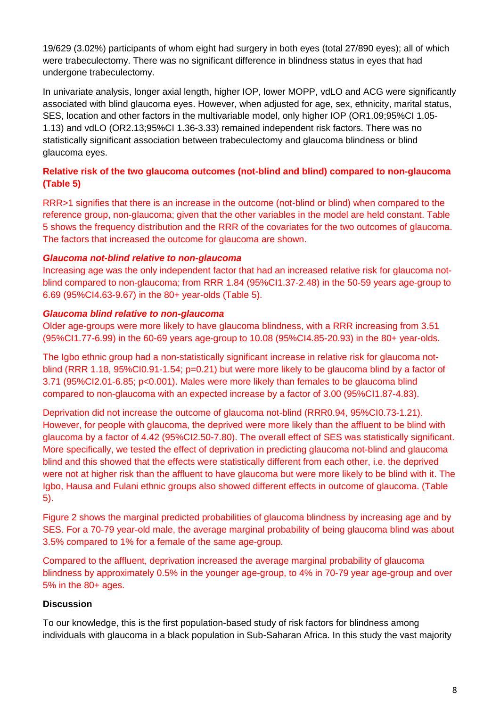19/629 (3.02%) participants of whom eight had surgery in both eyes (total 27/890 eyes); all of which were trabeculectomy. There was no significant difference in blindness status in eyes that had undergone trabeculectomy.

In univariate analysis, longer axial length, higher IOP, lower MOPP, vdLO and ACG were significantly associated with blind glaucoma eyes. However, when adjusted for age, sex, ethnicity, marital status, SES, location and other factors in the multivariable model, only higher IOP (OR1.09;95%CI 1.05- 1.13) and vdLO (OR2.13;95%CI 1.36-3.33) remained independent risk factors. There was no statistically significant association between trabeculectomy and glaucoma blindness or blind glaucoma eyes.

# **Relative risk of the two glaucoma outcomes (not-blind and blind) compared to non-glaucoma (Table 5)**

RRR>1 signifies that there is an increase in the outcome (not-blind or blind) when compared to the reference group, non-glaucoma; given that the other variables in the model are held constant. Table 5 shows the frequency distribution and the RRR of the covariates for the two outcomes of glaucoma. The factors that increased the outcome for glaucoma are shown.

# *Glaucoma not-blind relative to non-glaucoma*

Increasing age was the only independent factor that had an increased relative risk for glaucoma notblind compared to non-glaucoma; from RRR 1.84 (95%CI1.37-2.48) in the 50-59 years age-group to 6.69 (95%CI4.63-9.67) in the 80+ year-olds (Table 5).

# *Glaucoma blind relative to non-glaucoma*

Older age-groups were more likely to have glaucoma blindness, with a RRR increasing from 3.51 (95%CI1.77-6.99) in the 60-69 years age-group to 10.08 (95%CI4.85-20.93) in the 80+ year-olds.

The Igbo ethnic group had a non-statistically significant increase in relative risk for glaucoma notblind (RRR 1.18, 95%CI0.91-1.54; p=0.21) but were more likely to be glaucoma blind by a factor of 3.71 (95%CI2.01-6.85; p<0.001). Males were more likely than females to be glaucoma blind compared to non-glaucoma with an expected increase by a factor of 3.00 (95%CI1.87-4.83).

Deprivation did not increase the outcome of glaucoma not-blind (RRR0.94, 95%CI0.73-1.21). However, for people with glaucoma, the deprived were more likely than the affluent to be blind with glaucoma by a factor of 4.42 (95%CI2.50-7.80). The overall effect of SES was statistically significant. More specifically, we tested the effect of deprivation in predicting glaucoma not-blind and glaucoma blind and this showed that the effects were statistically different from each other, i.e. the deprived were not at higher risk than the affluent to have glaucoma but were more likely to be blind with it. The Igbo, Hausa and Fulani ethnic groups also showed different effects in outcome of glaucoma. (Table 5).

Figure 2 shows the marginal predicted probabilities of glaucoma blindness by increasing age and by SES. For a 70-79 year-old male, the average marginal probability of being glaucoma blind was about 3.5% compared to 1% for a female of the same age-group.

Compared to the affluent, deprivation increased the average marginal probability of glaucoma blindness by approximately 0.5% in the younger age-group, to 4% in 70-79 year age-group and over 5% in the 80+ ages.

# **Discussion**

To our knowledge, this is the first population-based study of risk factors for blindness among individuals with glaucoma in a black population in Sub-Saharan Africa. In this study the vast majority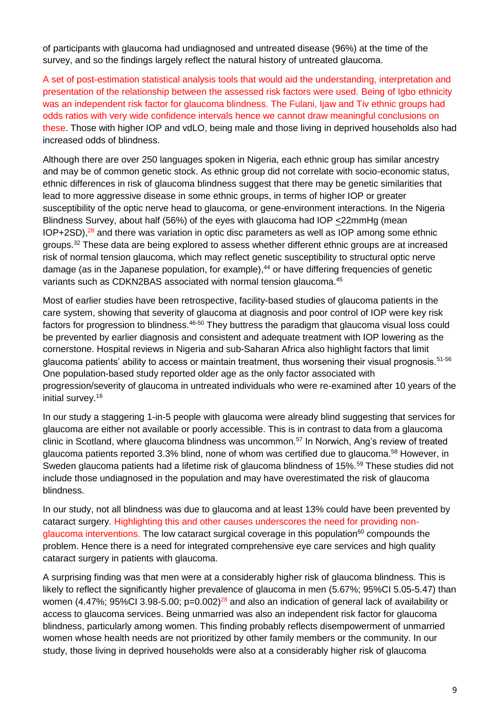of participants with glaucoma had undiagnosed and untreated disease (96%) at the time of the survey, and so the findings largely reflect the natural history of untreated glaucoma.

A set of post-estimation statistical analysis tools that would aid the understanding, interpretation and presentation of the relationship between the assessed risk factors were used. Being of Igbo ethnicity was an independent risk factor for glaucoma blindness. The Fulani, Ijaw and Tiv ethnic groups had odds ratios with very wide confidence intervals hence we cannot draw meaningful conclusions on these. Those with higher IOP and vdLO, being male and those living in deprived households also had increased odds of blindness.

Although there are over 250 languages spoken in Nigeria, each ethnic group has similar ancestry and may be of common genetic stock. As ethnic group did not correlate with socio-economic status, ethnic differences in risk of glaucoma blindness suggest that there may be genetic similarities that lead to more aggressive disease in some ethnic groups, in terms of higher IOP or greater susceptibility of the optic nerve head to glaucoma, or gene-environment interactions. In the Nigeria Blindness Survey, about half (56%) of the eyes with glaucoma had IOP <22mmHg (mean  $IOP+2SD$ ), $^{28}$  and there was variation in optic disc parameters as well as  $IOP$  among some ethnic groups.<sup>32</sup> These data are being explored to assess whether different ethnic groups are at increased risk of normal tension glaucoma, which may reflect genetic susceptibility to structural optic nerve damage (as in the Japanese population, for example), <sup>44</sup> or have differing frequencies of genetic variants such as CDKN2BAS associated with normal tension glaucoma.<sup>45</sup>

Most of earlier studies have been retrospective, facility-based studies of glaucoma patients in the care system, showing that severity of glaucoma at diagnosis and poor control of IOP were key risk factors for progression to blindness.<sup>46-50</sup> They buttress the paradigm that glaucoma visual loss could be prevented by earlier diagnosis and consistent and adequate treatment with IOP lowering as the cornerstone. Hospital reviews in Nigeria and sub-Saharan Africa also highlight factors that limit glaucoma patients' ability to access or maintain treatment, thus worsening their visual prognosis.<sup>51-56</sup> One population-based study reported older age as the only factor associated with progression/severity of glaucoma in untreated individuals who were re-examined after 10 years of the initial survey.<sup>16</sup>

In our study a staggering 1-in-5 people with glaucoma were already blind suggesting that services for glaucoma are either not available or poorly accessible. This is in contrast to data from a glaucoma clinic in Scotland, where glaucoma blindness was uncommon.<sup>57</sup> In Norwich, Ang's review of treated glaucoma patients reported 3.3% blind, none of whom was certified due to glaucoma.<sup>58</sup> However, in Sweden glaucoma patients had a lifetime risk of glaucoma blindness of 15%.<sup>59</sup> These studies did not include those undiagnosed in the population and may have overestimated the risk of glaucoma blindness.

In our study, not all blindness was due to glaucoma and at least 13% could have been prevented by cataract surgery. Highlighting this and other causes underscores the need for providing nonglaucoma interventions. The low cataract surgical coverage in this population $60$  compounds the problem. Hence there is a need for integrated comprehensive eye care services and high quality cataract surgery in patients with glaucoma.

A surprising finding was that men were at a considerably higher risk of glaucoma blindness. This is likely to reflect the significantly higher prevalence of glaucoma in men (5.67%; 95%CI 5.05-5.47) than women (4.47%; 95%CI 3.98-5.00;  $p=0.002$ )<sup>28</sup> and also an indication of general lack of availability or access to glaucoma services. Being unmarried was also an independent risk factor for glaucoma blindness, particularly among women. This finding probably reflects disempowerment of unmarried women whose health needs are not prioritized by other family members or the community. In our study, those living in deprived households were also at a considerably higher risk of glaucoma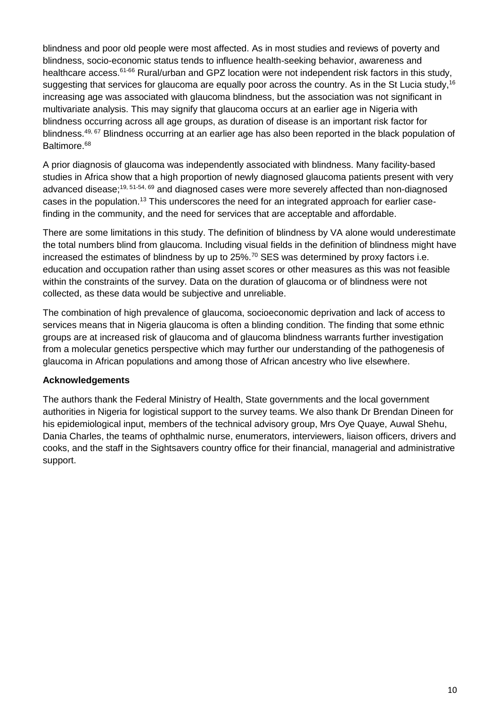blindness and poor old people were most affected. As in most studies and reviews of poverty and blindness, socio-economic status tends to influence health-seeking behavior, awareness and healthcare access.<sup>61-66</sup> Rural/urban and GPZ location were not independent risk factors in this study, suggesting that services for glaucoma are equally poor across the country. As in the St Lucia study,<sup>16</sup> increasing age was associated with glaucoma blindness, but the association was not significant in multivariate analysis. This may signify that glaucoma occurs at an earlier age in Nigeria with blindness occurring across all age groups, as duration of disease is an important risk factor for blindness.<sup>49, 67</sup> Blindness occurring at an earlier age has also been reported in the black population of Baltimore.<sup>68</sup>

A prior diagnosis of glaucoma was independently associated with blindness. Many facility-based studies in Africa show that a high proportion of newly diagnosed glaucoma patients present with very advanced disease;<sup>19, 51-54, 69</sup> and diagnosed cases were more severely affected than non-diagnosed cases in the population.<sup>13</sup> This underscores the need for an integrated approach for earlier casefinding in the community, and the need for services that are acceptable and affordable.

There are some limitations in this study. The definition of blindness by VA alone would underestimate the total numbers blind from glaucoma. Including visual fields in the definition of blindness might have increased the estimates of blindness by up to  $25\%$ .<sup>70</sup> SES was determined by proxy factors i.e. education and occupation rather than using asset scores or other measures as this was not feasible within the constraints of the survey. Data on the duration of glaucoma or of blindness were not collected, as these data would be subjective and unreliable.

The combination of high prevalence of glaucoma, socioeconomic deprivation and lack of access to services means that in Nigeria glaucoma is often a blinding condition. The finding that some ethnic groups are at increased risk of glaucoma and of glaucoma blindness warrants further investigation from a molecular genetics perspective which may further our understanding of the pathogenesis of glaucoma in African populations and among those of African ancestry who live elsewhere.

### **Acknowledgements**

The authors thank the Federal Ministry of Health, State governments and the local government authorities in Nigeria for logistical support to the survey teams. We also thank Dr Brendan Dineen for his epidemiological input, members of the technical advisory group, Mrs Oye Quaye, Auwal Shehu, Dania Charles, the teams of ophthalmic nurse, enumerators, interviewers, liaison officers, drivers and cooks, and the staff in the Sightsavers country office for their financial, managerial and administrative support.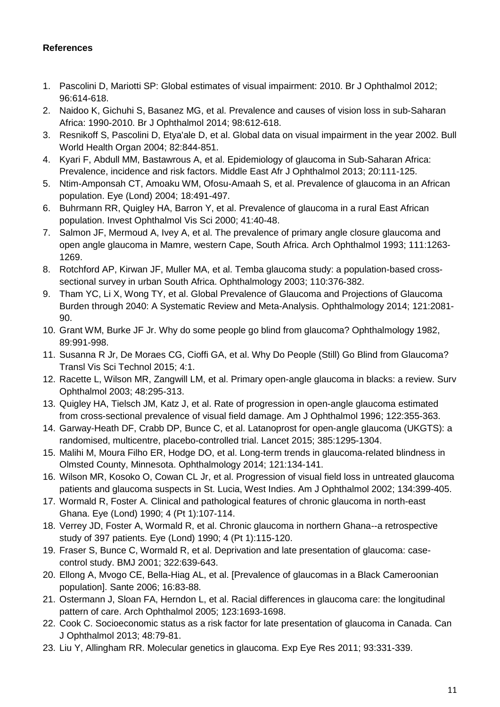### **References**

- 1. Pascolini D, Mariotti SP: Global estimates of visual impairment: 2010. Br J Ophthalmol 2012; 96:614-618.
- 2. Naidoo K, Gichuhi S, Basanez MG, et al. Prevalence and causes of vision loss in sub-Saharan Africa: 1990-2010. Br J Ophthalmol 2014; 98:612-618.
- 3. Resnikoff S, Pascolini D, Etya'ale D, et al. Global data on visual impairment in the year 2002. Bull World Health Organ 2004; 82:844-851.
- 4. Kyari F, Abdull MM, Bastawrous A, et al. Epidemiology of glaucoma in Sub-Saharan Africa: Prevalence, incidence and risk factors. Middle East Afr J Ophthalmol 2013; 20:111-125.
- 5. Ntim-Amponsah CT, Amoaku WM, Ofosu-Amaah S, et al. Prevalence of glaucoma in an African population. Eye (Lond) 2004; 18:491-497.
- 6. Buhrmann RR, Quigley HA, Barron Y, et al. Prevalence of glaucoma in a rural East African population. Invest Ophthalmol Vis Sci 2000; 41:40-48.
- 7. Salmon JF, Mermoud A, Ivey A, et al. The prevalence of primary angle closure glaucoma and open angle glaucoma in Mamre, western Cape, South Africa. Arch Ophthalmol 1993; 111:1263- 1269.
- 8. Rotchford AP, Kirwan JF, Muller MA, et al. Temba glaucoma study: a population-based crosssectional survey in urban South Africa. Ophthalmology 2003; 110:376-382.
- 9. Tham YC, Li X, Wong TY, et al. Global Prevalence of Glaucoma and Projections of Glaucoma Burden through 2040: A Systematic Review and Meta-Analysis. Ophthalmology 2014; 121:2081- 90.
- 10. Grant WM, Burke JF Jr. Why do some people go blind from glaucoma? Ophthalmology 1982, 89:991-998.
- 11. Susanna R Jr, De Moraes CG, Cioffi GA, et al. Why Do People (Still) Go Blind from Glaucoma? Transl Vis Sci Technol 2015; 4:1.
- 12. Racette L, Wilson MR, Zangwill LM, et al. Primary open-angle glaucoma in blacks: a review. Surv Ophthalmol 2003; 48:295-313.
- 13. Quigley HA, Tielsch JM, Katz J, et al. Rate of progression in open-angle glaucoma estimated from cross-sectional prevalence of visual field damage. Am J Ophthalmol 1996; 122:355-363.
- 14. Garway-Heath DF, Crabb DP, Bunce C, et al. Latanoprost for open-angle glaucoma (UKGTS): a randomised, multicentre, placebo-controlled trial. Lancet 2015; 385:1295-1304.
- 15. Malihi M, Moura Filho ER, Hodge DO, et al. Long-term trends in glaucoma-related blindness in Olmsted County, Minnesota. Ophthalmology 2014; 121:134-141.
- 16. Wilson MR, Kosoko O, Cowan CL Jr, et al. Progression of visual field loss in untreated glaucoma patients and glaucoma suspects in St. Lucia, West Indies. Am J Ophthalmol 2002; 134:399-405.
- 17. Wormald R, Foster A. Clinical and pathological features of chronic glaucoma in north-east Ghana. Eye (Lond) 1990; 4 (Pt 1):107-114.
- 18. Verrey JD, Foster A, Wormald R, et al. Chronic glaucoma in northern Ghana--a retrospective study of 397 patients. Eye (Lond) 1990; 4 (Pt 1):115-120.
- 19. Fraser S, Bunce C, Wormald R, et al. Deprivation and late presentation of glaucoma: casecontrol study. BMJ 2001; 322:639-643.
- 20. Ellong A, Mvogo CE, Bella-Hiag AL, et al. [Prevalence of glaucomas in a Black Cameroonian population]. Sante 2006; 16:83-88.
- 21. Ostermann J, Sloan FA, Herndon L, et al. Racial differences in glaucoma care: the longitudinal pattern of care. Arch Ophthalmol 2005; 123:1693-1698.
- 22. Cook C. Socioeconomic status as a risk factor for late presentation of glaucoma in Canada. Can J Ophthalmol 2013; 48:79-81.
- 23. Liu Y, Allingham RR. Molecular genetics in glaucoma. Exp Eye Res 2011; 93:331-339.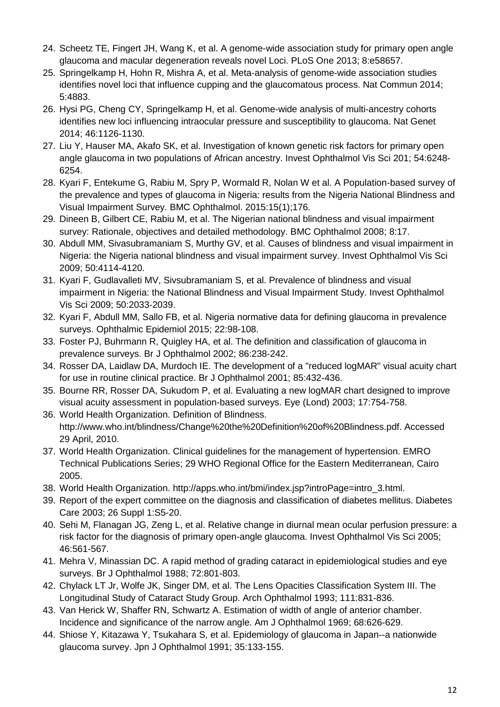- 24. Scheetz TE, Fingert JH, Wang K, et al. A genome-wide association study for primary open angle glaucoma and macular degeneration reveals novel Loci. PLoS One 2013; 8:e58657.
- 25. Springelkamp H, Hohn R, Mishra A, et al. Meta-analysis of genome-wide association studies identifies novel loci that influence cupping and the glaucomatous process. Nat Commun 2014; 5:4883.
- 26. Hysi PG, Cheng CY, Springelkamp H, et al. Genome-wide analysis of multi-ancestry cohorts identifies new loci influencing intraocular pressure and susceptibility to glaucoma. Nat Genet 2014; 46:1126-1130.
- 27. Liu Y, Hauser MA, Akafo SK, et al. Investigation of known genetic risk factors for primary open angle glaucoma in two populations of African ancestry. Invest Ophthalmol Vis Sci 201; 54:6248- 6254.
- 28. Kyari F, Entekume G, Rabiu M, Spry P, Wormald R, Nolan W et al. A Population-based survey of the prevalence and types of glaucoma in Nigeria: results from the Nigeria National Blindness and Visual Impairment Survey. BMC Ophthalmol. 2015:15(1);176.
- 29. Dineen B, Gilbert CE, Rabiu M, et al. The Nigerian national blindness and visual impairment survey: Rationale, objectives and detailed methodology. BMC Ophthalmol 2008; 8:17.
- 30. Abdull MM, Sivasubramaniam S, Murthy GV, et al. Causes of blindness and visual impairment in Nigeria: the Nigeria national blindness and visual impairment survey. Invest Ophthalmol Vis Sci 2009; 50:4114-4120.
- 31. Kyari F, Gudlavalleti MV, Sivsubramaniam S, et al. Prevalence of blindness and visual impairment in Nigeria: the National Blindness and Visual Impairment Study. Invest Ophthalmol Vis Sci 2009; 50:2033-2039.
- 32. Kyari F, Abdull MM, Sallo FB, et al. Nigeria normative data for defining glaucoma in prevalence surveys. Ophthalmic Epidemiol 2015; 22:98-108.
- 33. Foster PJ, Buhrmann R, Quigley HA, et al. The definition and classification of glaucoma in prevalence surveys. Br J Ophthalmol 2002; 86:238-242.
- 34. Rosser DA, Laidlaw DA, Murdoch IE. The development of a "reduced logMAR" visual acuity chart for use in routine clinical practice. Br J Ophthalmol 2001; 85:432-436.
- 35. Bourne RR, Rosser DA, Sukudom P, et al. Evaluating a new logMAR chart designed to improve visual acuity assessment in population-based surveys. Eye (Lond) 2003; 17:754-758.
- 36. World Health Organization. Definition of Blindness. http://www.who.int/blindness/Change%20the%20Definition%20of%20Blindness.pdf. Accessed 29 April, 2010.
- 37. World Health Organization. Clinical guidelines for the management of hypertension. EMRO Technical Publications Series; 29 WHO Regional Office for the Eastern Mediterranean, Cairo 2005.
- 38. World Health Organization. http://apps.who.int/bmi/index.jsp?introPage=intro\_3.html.
- 39. Report of the expert committee on the diagnosis and classification of diabetes mellitus. Diabetes Care 2003; 26 Suppl 1:S5-20.
- 40. Sehi M, Flanagan JG, Zeng L, et al. Relative change in diurnal mean ocular perfusion pressure: a risk factor for the diagnosis of primary open-angle glaucoma. Invest Ophthalmol Vis Sci 2005; 46:561-567.
- 41. Mehra V, Minassian DC. A rapid method of grading cataract in epidemiological studies and eye surveys. Br J Ophthalmol 1988; 72:801-803.
- 42. Chylack LT Jr, Wolfe JK, Singer DM, et al. The Lens Opacities Classification System III. The Longitudinal Study of Cataract Study Group. Arch Ophthalmol 1993; 111:831-836.
- 43. Van Herick W, Shaffer RN, Schwartz A. Estimation of width of angle of anterior chamber. Incidence and significance of the narrow angle. Am J Ophthalmol 1969; 68:626-629.
- 44. Shiose Y, Kitazawa Y, Tsukahara S, et al. Epidemiology of glaucoma in Japan--a nationwide glaucoma survey. Jpn J Ophthalmol 1991; 35:133-155.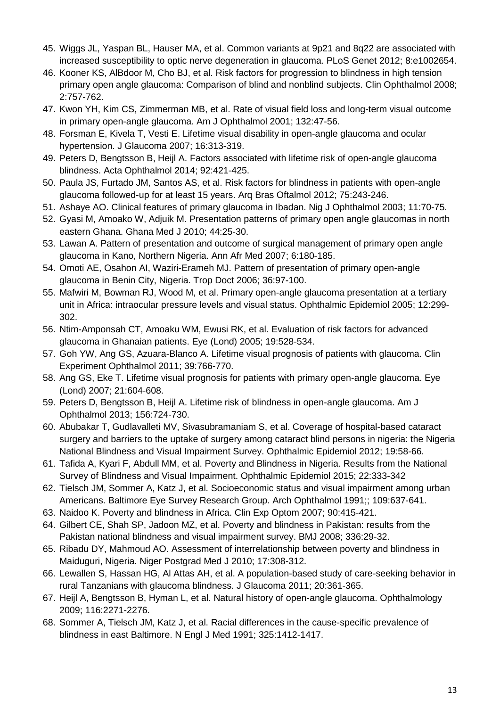- 45. Wiggs JL, Yaspan BL, Hauser MA, et al. Common variants at 9p21 and 8q22 are associated with increased susceptibility to optic nerve degeneration in glaucoma. PLoS Genet 2012; 8:e1002654.
- 46. Kooner KS, AlBdoor M, Cho BJ, et al. Risk factors for progression to blindness in high tension primary open angle glaucoma: Comparison of blind and nonblind subjects. Clin Ophthalmol 2008; 2:757-762.
- 47. Kwon YH, Kim CS, Zimmerman MB, et al. Rate of visual field loss and long-term visual outcome in primary open-angle glaucoma. Am J Ophthalmol 2001; 132:47-56.
- 48. Forsman E, Kivela T, Vesti E. Lifetime visual disability in open-angle glaucoma and ocular hypertension. J Glaucoma 2007; 16:313-319.
- 49. Peters D, Bengtsson B, Heijl A. Factors associated with lifetime risk of open-angle glaucoma blindness. Acta Ophthalmol 2014; 92:421-425.
- 50. Paula JS, Furtado JM, Santos AS, et al. Risk factors for blindness in patients with open-angle glaucoma followed-up for at least 15 years. Arq Bras Oftalmol 2012; 75:243-246.
- 51. Ashaye AO. Clinical features of primary glaucoma in Ibadan. Nig J Ophthalmol 2003; 11:70-75.
- 52. Gyasi M, Amoako W, Adjuik M. Presentation patterns of primary open angle glaucomas in north eastern Ghana. Ghana Med J 2010; 44:25-30.
- 53. Lawan A. Pattern of presentation and outcome of surgical management of primary open angle glaucoma in Kano, Northern Nigeria. Ann Afr Med 2007; 6:180-185.
- 54. Omoti AE, Osahon AI, Waziri-Erameh MJ. Pattern of presentation of primary open-angle glaucoma in Benin City, Nigeria. Trop Doct 2006; 36:97-100.
- 55. Mafwiri M, Bowman RJ, Wood M, et al. Primary open-angle glaucoma presentation at a tertiary unit in Africa: intraocular pressure levels and visual status. Ophthalmic Epidemiol 2005; 12:299- 302.
- 56. Ntim-Amponsah CT, Amoaku WM, Ewusi RK, et al. Evaluation of risk factors for advanced glaucoma in Ghanaian patients. Eye (Lond) 2005; 19:528-534.
- 57. Goh YW, Ang GS, Azuara-Blanco A. Lifetime visual prognosis of patients with glaucoma. Clin Experiment Ophthalmol 2011; 39:766-770.
- 58. Ang GS, Eke T. Lifetime visual prognosis for patients with primary open-angle glaucoma. Eye (Lond) 2007; 21:604-608.
- 59. Peters D, Bengtsson B, Heijl A. Lifetime risk of blindness in open-angle glaucoma. Am J Ophthalmol 2013; 156:724-730.
- 60. Abubakar T, Gudlavalleti MV, Sivasubramaniam S, et al. Coverage of hospital-based cataract surgery and barriers to the uptake of surgery among cataract blind persons in nigeria: the Nigeria National Blindness and Visual Impairment Survey. Ophthalmic Epidemiol 2012; 19:58-66.
- 61. Tafida A, Kyari F, Abdull MM, et al. Poverty and Blindness in Nigeria. Results from the National Survey of Blindness and Visual Impairment. Ophthalmic Epidemiol 2015; 22:333-342
- 62. Tielsch JM, Sommer A, Katz J, et al. Socioeconomic status and visual impairment among urban Americans. Baltimore Eye Survey Research Group. Arch Ophthalmol 1991;; 109:637-641.
- 63. Naidoo K. Poverty and blindness in Africa. Clin Exp Optom 2007; 90:415-421.
- 64. Gilbert CE, Shah SP, Jadoon MZ, et al. Poverty and blindness in Pakistan: results from the Pakistan national blindness and visual impairment survey. BMJ 2008; 336:29-32.
- 65. Ribadu DY, Mahmoud AO. Assessment of interrelationship between poverty and blindness in Maiduguri, Nigeria. Niger Postgrad Med J 2010; 17:308-312.
- 66. Lewallen S, Hassan HG, Al Attas AH, et al. A population-based study of care-seeking behavior in rural Tanzanians with glaucoma blindness. J Glaucoma 2011; 20:361-365.
- 67. Heijl A, Bengtsson B, Hyman L, et al. Natural history of open-angle glaucoma. Ophthalmology 2009; 116:2271-2276.
- 68. Sommer A, Tielsch JM, Katz J, et al. Racial differences in the cause-specific prevalence of blindness in east Baltimore. N Engl J Med 1991; 325:1412-1417.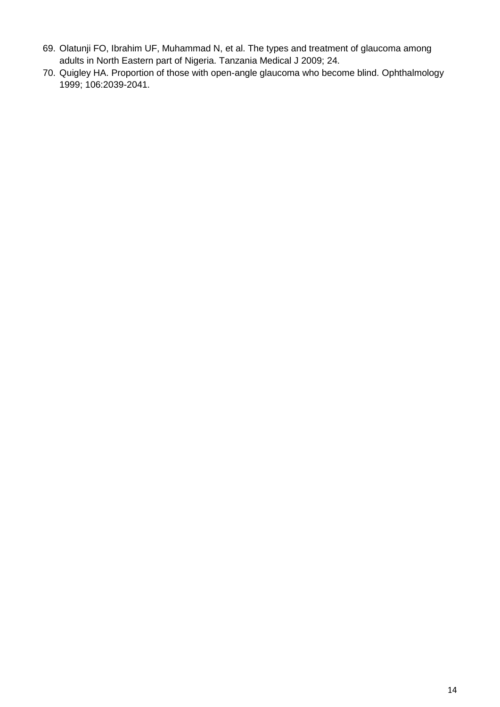- 69. Olatunji FO, Ibrahim UF, Muhammad N, et al. The types and treatment of glaucoma among adults in North Eastern part of Nigeria. Tanzania Medical J 2009; 24.
- 70. Quigley HA. Proportion of those with open-angle glaucoma who become blind. Ophthalmology 1999; 106:2039-2041.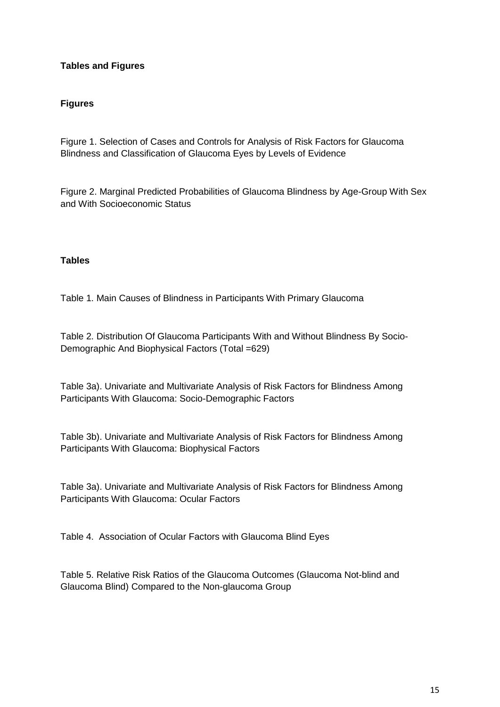# **Tables and Figures**

#### **Figures**

Figure 1. Selection of Cases and Controls for Analysis of Risk Factors for Glaucoma Blindness and Classification of Glaucoma Eyes by Levels of Evidence

Figure 2. Marginal Predicted Probabilities of Glaucoma Blindness by Age-Group With Sex and With Socioeconomic Status

#### **Tables**

Table 1. Main Causes of Blindness in Participants With Primary Glaucoma

Table 2. Distribution Of Glaucoma Participants With and Without Blindness By Socio-Demographic And Biophysical Factors (Total =629)

Table 3a). Univariate and Multivariate Analysis of Risk Factors for Blindness Among Participants With Glaucoma: Socio-Demographic Factors

Table 3b). Univariate and Multivariate Analysis of Risk Factors for Blindness Among Participants With Glaucoma: Biophysical Factors

Table 3a). Univariate and Multivariate Analysis of Risk Factors for Blindness Among Participants With Glaucoma: Ocular Factors

Table 4. Association of Ocular Factors with Glaucoma Blind Eyes

Table 5. Relative Risk Ratios of the Glaucoma Outcomes (Glaucoma Not-blind and Glaucoma Blind) Compared to the Non-glaucoma Group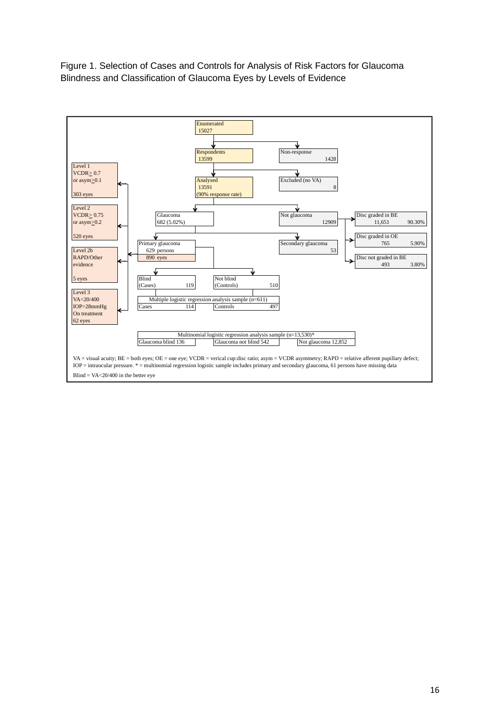Figure 1. Selection of Cases and Controls for Analysis of Risk Factors for Glaucoma Blindness and Classification of Glaucoma Eyes by Levels of Evidence

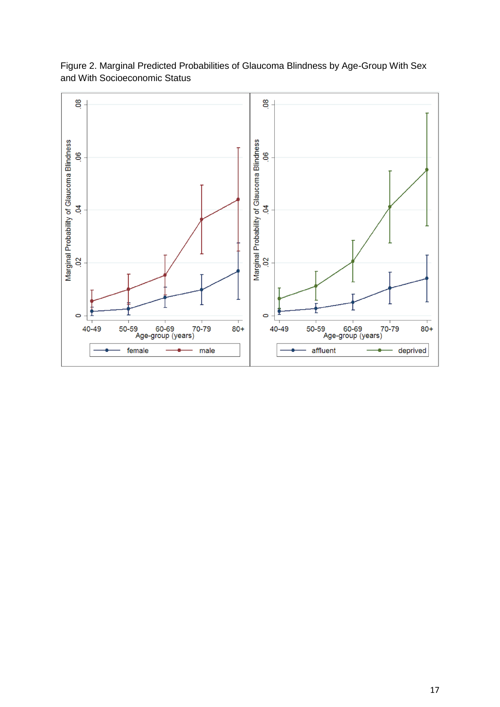

Figure 2. Marginal Predicted Probabilities of Glaucoma Blindness by Age-Group With Sex and With Socioeconomic Status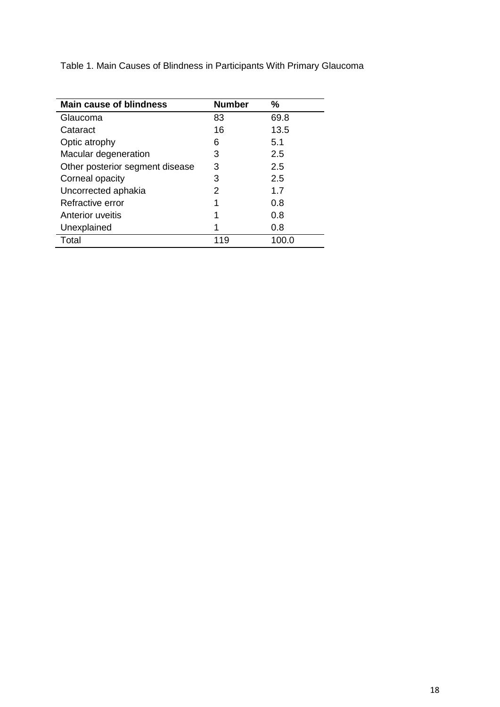Table 1. Main Causes of Blindness in Participants With Primary Glaucoma

| <b>Main cause of blindness</b>  | <b>Number</b> | %     |
|---------------------------------|---------------|-------|
| Glaucoma                        | 83            | 69.8  |
| Cataract                        | 16            | 13.5  |
| Optic atrophy                   | 6             | 5.1   |
| Macular degeneration            | 3             | 2.5   |
| Other posterior segment disease | 3             | 2.5   |
| Corneal opacity                 | 3             | 2.5   |
| Uncorrected aphakia             | 2             | 1.7   |
| Refractive error                | 1             | 0.8   |
| Anterior uveitis                | 1             | 0.8   |
| Unexplained                     | 1             | 0.8   |
| Total                           | 119           | 100.0 |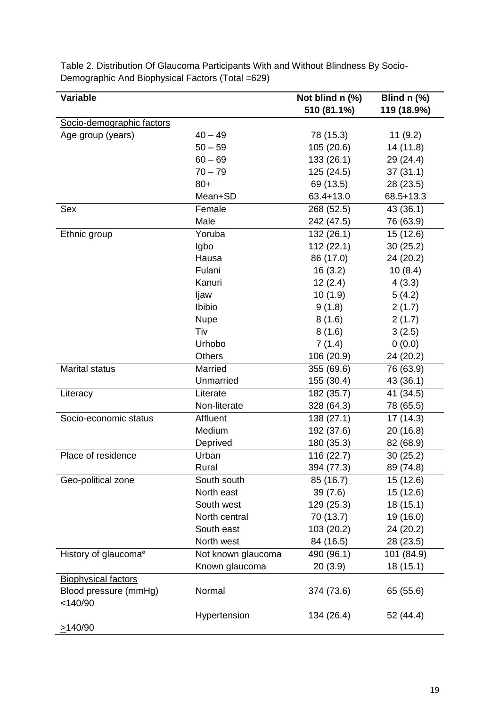| Variable                         |                      | Not blind n (%)         | Blind $n$ (%) |
|----------------------------------|----------------------|-------------------------|---------------|
|                                  |                      | 510 (81.1%)             | 119 (18.9%)   |
| Socio-demographic factors        |                      |                         |               |
| Age group (years)                | $40 - 49$            | 78 (15.3)               | 11(9.2)       |
|                                  | $50 - 59$            | 105(20.6)               | 14 (11.8)     |
|                                  | $60 - 69$            | 133(26.1)               | 29 (24.4)     |
|                                  | $70 - 79$            | 125 (24.5)              | 37(31.1)      |
|                                  | $80+$                | 69 (13.5)               | 28 (23.5)     |
|                                  | Mean <sup>+</sup> SD | $63.4 + 13.0$           | $68.5 + 13.3$ |
| Sex                              | Female               | 268 (52.5)              | 43 (36.1)     |
|                                  | Male                 | 242 (47.5)              | 76 (63.9)     |
| Ethnic group                     | Yoruba               | 132 (26.1)              | 15 (12.6)     |
|                                  | Igbo                 | 112(22.1)               | 30(25.2)      |
|                                  | Hausa                | 86 (17.0)               | 24 (20.2)     |
|                                  | Fulani               | 16(3.2)                 | 10(8.4)       |
|                                  | Kanuri               | 12(2.4)                 | 4(3.3)        |
|                                  | ljaw                 | 10(1.9)                 | 5(4.2)        |
|                                  | Ibibio               | 9(1.8)                  | 2(1.7)        |
|                                  | <b>Nupe</b>          | 8(1.6)                  | 2(1.7)        |
|                                  | Tiv                  | 8(1.6)                  | 3(2.5)        |
|                                  | Urhobo               | 7(1.4)                  | 0(0.0)        |
|                                  | Others               | 106 (20.9)              | 24 (20.2)     |
| <b>Marital status</b>            | Married              | 355 (69.6)              | 76 (63.9)     |
|                                  | Unmarried            | 155 (30.4)              | 43 (36.1)     |
| Literacy                         | Literate             | $\overline{182}$ (35.7) | 41 (34.5)     |
|                                  | Non-literate         | 328 (64.3)              | 78 (65.5)     |
| Socio-economic status            | Affluent             | 138 (27.1)              | 17 (14.3)     |
|                                  | Medium               | 192 (37.6)              | 20 (16.8)     |
|                                  | Deprived             | 180 (35.3)              | 82 (68.9)     |
| Place of residence               | Urban                | 116 (22.7)              | 30(25.2)      |
|                                  | Rural                | 394 (77.3)              | 89 (74.8)     |
| Geo-political zone               | South south          | 85 (16.7)               | 15 (12.6)     |
|                                  | North east           | 39(7.6)                 | 15 (12.6)     |
|                                  | South west           | 129 (25.3)              | 18 (15.1)     |
|                                  | North central        | 70 (13.7)               | 19 (16.0)     |
|                                  | South east           | 103 (20.2)              | 24 (20.2)     |
|                                  | North west           | 84 (16.5)               | 28 (23.5)     |
| History of glaucoma <sup>a</sup> | Not known glaucoma   | 490 (96.1)              | 101 (84.9)    |
|                                  | Known glaucoma       | 20(3.9)                 | 18 (15.1)     |
| <b>Biophysical factors</b>       |                      |                         |               |
| Blood pressure (mmHg)            | Normal               | 374 (73.6)              | 65 (55.6)     |
| $<$ 140/90                       |                      |                         |               |
|                                  | Hypertension         | 134 (26.4)              | 52 (44.4)     |
| $\geq$ 140/90                    |                      |                         |               |

Table 2. Distribution Of Glaucoma Participants With and Without Blindness By Socio-Demographic And Biophysical Factors (Total =629)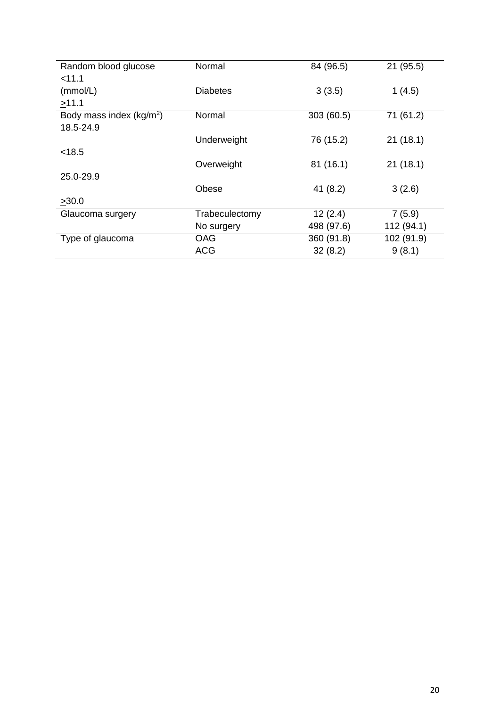| Random blood glucose                 | Normal          | 84 (96.5)  | 21 (95.5)  |
|--------------------------------------|-----------------|------------|------------|
| < 11.1                               |                 |            |            |
| (mmol/L)                             | <b>Diabetes</b> | 3(3.5)     | 1(4.5)     |
| >11.1                                |                 |            |            |
| Body mass index (kg/m <sup>2</sup> ) | Normal          | 303 (60.5) | 71 (61.2)  |
| 18.5-24.9                            |                 |            |            |
|                                      | Underweight     | 76 (15.2)  | 21(18.1)   |
| < 18.5                               |                 |            |            |
|                                      | Overweight      | 81(16.1)   | 21(18.1)   |
| 25.0-29.9                            |                 |            |            |
|                                      | Obese           | 41(8.2)    | 3(2.6)     |
| >30.0                                |                 |            |            |
| Glaucoma surgery                     | Trabeculectomy  | 12(2.4)    | 7(5.9)     |
|                                      | No surgery      | 498 (97.6) | 112 (94.1) |
| Type of glaucoma                     | <b>OAG</b>      | 360 (91.8) | 102 (91.9) |
|                                      | <b>ACG</b>      | 32(8.2)    | 9(8.1)     |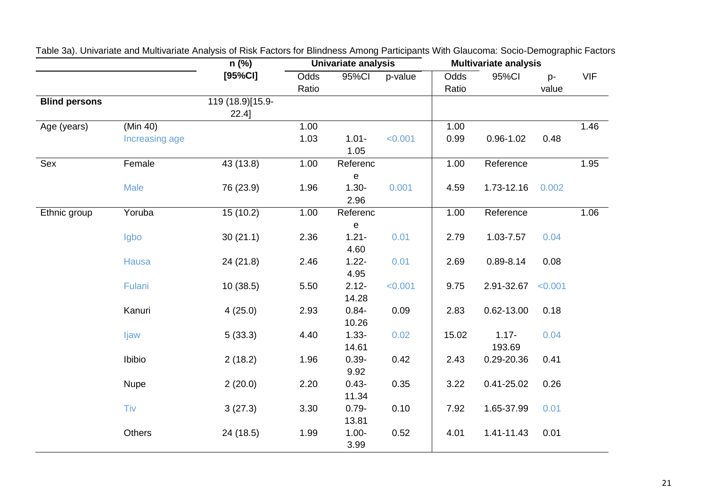| [95%CI]<br><b>VIF</b><br>95%CI<br>Odds<br>p-value<br>Odds<br>95%CI<br>p-<br>value<br>Ratio<br>Ratio<br><b>Blind persons</b><br>119 (18.9)[15.9-<br>$22.4$ ]<br>1.46<br>(Min 40)<br>1.00<br>1.00<br>Age (years)<br>1.03<br>0.99<br>0.48<br>$1.01 -$<br>< 0.001<br>$0.96 - 1.02$<br>Increasing age<br>1.05<br>Sex<br>1.95<br>Female<br>43(13.8)<br>1.00<br>1.00<br>Reference<br>Referenc<br>е<br>76 (23.9)<br>1.96<br>$1.30 -$<br>0.001<br>1.73-12.16<br>0.002<br><b>Male</b><br>4.59<br>2.96<br>15(10.2)<br>Reference<br>1.06<br>Yoruba<br>1.00<br>Referenc<br>1.00<br>Ethnic group<br>e<br>30(21.1)<br>2.36<br>$1.21 -$<br>0.01<br>1.03-7.57<br>Igbo<br>2.79<br>0.04<br>4.60<br>$1.22 -$<br>0.01<br>24 (21.8)<br>2.46<br>2.69<br>$0.89 - 8.14$<br>0.08<br>Hausa<br>4.95 |        | $n$ (%)<br><b>Univariate analysis</b> |      |          | <b>Multivariate analysis</b> |      |            |         |  |
|-------------------------------------------------------------------------------------------------------------------------------------------------------------------------------------------------------------------------------------------------------------------------------------------------------------------------------------------------------------------------------------------------------------------------------------------------------------------------------------------------------------------------------------------------------------------------------------------------------------------------------------------------------------------------------------------------------------------------------------------------------------------------|--------|---------------------------------------|------|----------|------------------------------|------|------------|---------|--|
|                                                                                                                                                                                                                                                                                                                                                                                                                                                                                                                                                                                                                                                                                                                                                                         |        |                                       |      |          |                              |      |            |         |  |
|                                                                                                                                                                                                                                                                                                                                                                                                                                                                                                                                                                                                                                                                                                                                                                         |        |                                       |      |          |                              |      |            |         |  |
|                                                                                                                                                                                                                                                                                                                                                                                                                                                                                                                                                                                                                                                                                                                                                                         |        |                                       |      |          |                              |      |            |         |  |
|                                                                                                                                                                                                                                                                                                                                                                                                                                                                                                                                                                                                                                                                                                                                                                         |        |                                       |      |          |                              |      |            |         |  |
|                                                                                                                                                                                                                                                                                                                                                                                                                                                                                                                                                                                                                                                                                                                                                                         |        |                                       |      |          |                              |      |            |         |  |
|                                                                                                                                                                                                                                                                                                                                                                                                                                                                                                                                                                                                                                                                                                                                                                         |        |                                       |      |          |                              |      |            |         |  |
|                                                                                                                                                                                                                                                                                                                                                                                                                                                                                                                                                                                                                                                                                                                                                                         |        |                                       |      |          |                              |      |            |         |  |
|                                                                                                                                                                                                                                                                                                                                                                                                                                                                                                                                                                                                                                                                                                                                                                         |        |                                       |      |          |                              |      |            |         |  |
|                                                                                                                                                                                                                                                                                                                                                                                                                                                                                                                                                                                                                                                                                                                                                                         |        |                                       |      |          |                              |      |            |         |  |
|                                                                                                                                                                                                                                                                                                                                                                                                                                                                                                                                                                                                                                                                                                                                                                         |        |                                       |      |          |                              |      |            |         |  |
|                                                                                                                                                                                                                                                                                                                                                                                                                                                                                                                                                                                                                                                                                                                                                                         |        |                                       |      |          |                              |      |            |         |  |
|                                                                                                                                                                                                                                                                                                                                                                                                                                                                                                                                                                                                                                                                                                                                                                         |        |                                       |      |          |                              |      |            |         |  |
|                                                                                                                                                                                                                                                                                                                                                                                                                                                                                                                                                                                                                                                                                                                                                                         |        |                                       |      |          |                              |      |            |         |  |
|                                                                                                                                                                                                                                                                                                                                                                                                                                                                                                                                                                                                                                                                                                                                                                         |        |                                       |      |          |                              |      |            |         |  |
|                                                                                                                                                                                                                                                                                                                                                                                                                                                                                                                                                                                                                                                                                                                                                                         |        |                                       |      |          |                              |      |            |         |  |
|                                                                                                                                                                                                                                                                                                                                                                                                                                                                                                                                                                                                                                                                                                                                                                         |        |                                       |      |          |                              |      |            |         |  |
|                                                                                                                                                                                                                                                                                                                                                                                                                                                                                                                                                                                                                                                                                                                                                                         |        |                                       |      |          |                              |      |            |         |  |
|                                                                                                                                                                                                                                                                                                                                                                                                                                                                                                                                                                                                                                                                                                                                                                         | Fulani | 10(38.5)                              | 5.50 | $2.12 -$ | < 0.001                      | 9.75 | 2.91-32.67 | < 0.001 |  |
| 14.28                                                                                                                                                                                                                                                                                                                                                                                                                                                                                                                                                                                                                                                                                                                                                                   |        |                                       |      |          |                              |      |            |         |  |
| Kanuri<br>0.09<br>0.62-13.00<br>4(25.0)<br>2.93<br>$0.84 -$<br>2.83<br>0.18                                                                                                                                                                                                                                                                                                                                                                                                                                                                                                                                                                                                                                                                                             |        |                                       |      |          |                              |      |            |         |  |
| 10.26                                                                                                                                                                                                                                                                                                                                                                                                                                                                                                                                                                                                                                                                                                                                                                   |        |                                       |      |          |                              |      |            |         |  |
| $1.33 -$<br>5(33.3)<br>4.40<br>0.02<br>15.02<br>$1.17 -$<br>0.04<br>ljaw                                                                                                                                                                                                                                                                                                                                                                                                                                                                                                                                                                                                                                                                                                |        |                                       |      |          |                              |      |            |         |  |
| 14.61<br>193.69                                                                                                                                                                                                                                                                                                                                                                                                                                                                                                                                                                                                                                                                                                                                                         |        |                                       |      |          |                              |      |            |         |  |
| Ibibio<br>1.96<br>$0.39 -$<br>0.42<br>0.29-20.36<br>2(18.2)<br>2.43<br>0.41                                                                                                                                                                                                                                                                                                                                                                                                                                                                                                                                                                                                                                                                                             |        |                                       |      |          |                              |      |            |         |  |
| 9.92                                                                                                                                                                                                                                                                                                                                                                                                                                                                                                                                                                                                                                                                                                                                                                    |        |                                       |      |          |                              |      |            |         |  |
| 2(20.0)<br>$0.43 -$<br>0.35<br>$0.41 - 25.02$<br>0.26<br><b>Nupe</b><br>2.20<br>3.22                                                                                                                                                                                                                                                                                                                                                                                                                                                                                                                                                                                                                                                                                    |        |                                       |      |          |                              |      |            |         |  |
| 11.34                                                                                                                                                                                                                                                                                                                                                                                                                                                                                                                                                                                                                                                                                                                                                                   |        |                                       |      |          |                              |      |            |         |  |
| 0.10<br>Tiv<br>3(27.3)<br>3.30<br>$0.79 -$<br>7.92<br>1.65-37.99<br>0.01                                                                                                                                                                                                                                                                                                                                                                                                                                                                                                                                                                                                                                                                                                |        |                                       |      |          |                              |      |            |         |  |
| 13.81                                                                                                                                                                                                                                                                                                                                                                                                                                                                                                                                                                                                                                                                                                                                                                   |        |                                       |      |          |                              |      |            |         |  |
| Others<br>1.99<br>0.52<br>0.01<br>24 (18.5)<br>$1.00 -$<br>4.01<br>1.41-11.43                                                                                                                                                                                                                                                                                                                                                                                                                                                                                                                                                                                                                                                                                           |        |                                       |      |          |                              |      |            |         |  |
| 3.99                                                                                                                                                                                                                                                                                                                                                                                                                                                                                                                                                                                                                                                                                                                                                                    |        |                                       |      |          |                              |      |            |         |  |

Table 3a). Univariate and Multivariate Analysis of Risk Factors for Blindness Among Participants With Glaucoma: Socio-Demographic Factors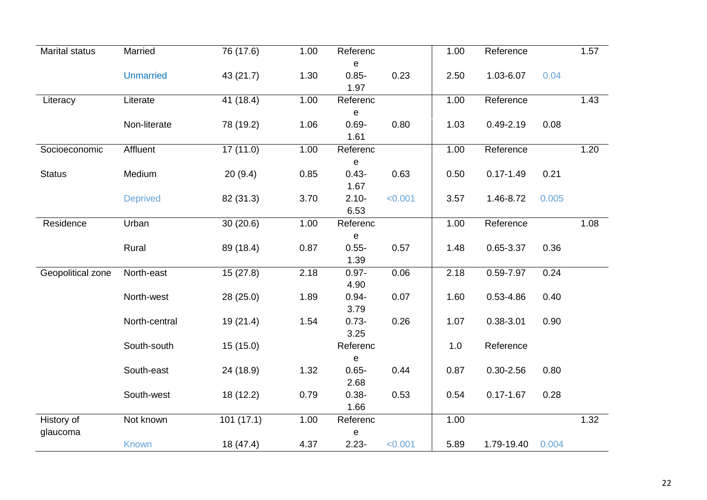| <b>Marital status</b> | Married          | 76 (17.6) | 1.00 | Referenc                        |         | 1.00 | Reference     |       | 1.57 |
|-----------------------|------------------|-----------|------|---------------------------------|---------|------|---------------|-------|------|
|                       | <b>Unmarried</b> | 43 (21.7) | 1.30 | $\mathbf e$<br>$0.85 -$<br>1.97 | 0.23    | 2.50 | 1.03-6.07     | 0.04  |      |
| Literacy              | Literate         | 41 (18.4) | 1.00 | Referenc                        |         | 1.00 | Reference     |       | 1.43 |
|                       |                  |           |      | $\mathbf e$                     |         |      |               |       |      |
|                       | Non-literate     | 78 (19.2) | 1.06 | $0.69 -$                        | 0.80    | 1.03 | $0.49 - 2.19$ | 0.08  |      |
|                       |                  |           |      | 1.61                            |         |      |               |       |      |
| Socioeconomic         | Affluent         | 17 (11.0) | 1.00 | Referenc                        |         | 1.00 | Reference     |       | 1.20 |
| <b>Status</b>         | Medium           | 20(9.4)   | 0.85 | $\mathbf e$<br>$0.43 -$         | 0.63    | 0.50 | $0.17 - 1.49$ | 0.21  |      |
|                       |                  |           |      | 1.67                            |         |      |               |       |      |
|                       | <b>Deprived</b>  | 82 (31.3) | 3.70 | $2.10 -$                        | < 0.001 | 3.57 | 1.46-8.72     | 0.005 |      |
|                       |                  |           |      | 6.53                            |         |      |               |       |      |
| Residence             | Urban            | 30(20.6)  | 1.00 | Referenc                        |         | 1.00 | Reference     |       | 1.08 |
|                       |                  |           |      | $\mathbf e$                     |         |      |               |       |      |
|                       | Rural            | 89 (18.4) | 0.87 | $0.55 -$                        | 0.57    | 1.48 | 0.65-3.37     | 0.36  |      |
|                       |                  |           |      | 1.39                            |         |      |               |       |      |
| Geopolitical zone     | North-east       | 15(27.8)  | 2.18 | $0.97 -$                        | 0.06    | 2.18 | 0.59-7.97     | 0.24  |      |
|                       |                  |           |      | 4.90                            |         |      |               |       |      |
|                       | North-west       | 28 (25.0) | 1.89 | $0.94 -$<br>3.79                | 0.07    | 1.60 | 0.53-4.86     | 0.40  |      |
|                       | North-central    | 19(21.4)  | 1.54 | $0.73 -$                        | 0.26    | 1.07 | 0.38-3.01     | 0.90  |      |
|                       |                  |           |      | 3.25                            |         |      |               |       |      |
|                       | South-south      | 15(15.0)  |      | Referenc                        |         | 1.0  | Reference     |       |      |
|                       |                  |           |      | $\mathbf e$                     |         |      |               |       |      |
|                       | South-east       | 24 (18.9) | 1.32 | $0.65 -$                        | 0.44    | 0.87 | $0.30 - 2.56$ | 0.80  |      |
|                       |                  |           |      | 2.68                            |         |      |               |       |      |
|                       | South-west       | 18 (12.2) | 0.79 | $0.38 -$                        | 0.53    | 0.54 | $0.17 - 1.67$ | 0.28  |      |
|                       |                  |           |      | 1.66                            |         |      |               |       |      |
| History of            | Not known        | 101(17.1) | 1.00 | Referenc                        |         | 1.00 |               |       | 1.32 |
| glaucoma              |                  |           |      | e                               |         |      |               |       |      |
|                       | <b>Known</b>     | 18 (47.4) | 4.37 | $2.23 -$                        | < 0.001 | 5.89 | 1.79-19.40    | 0.004 |      |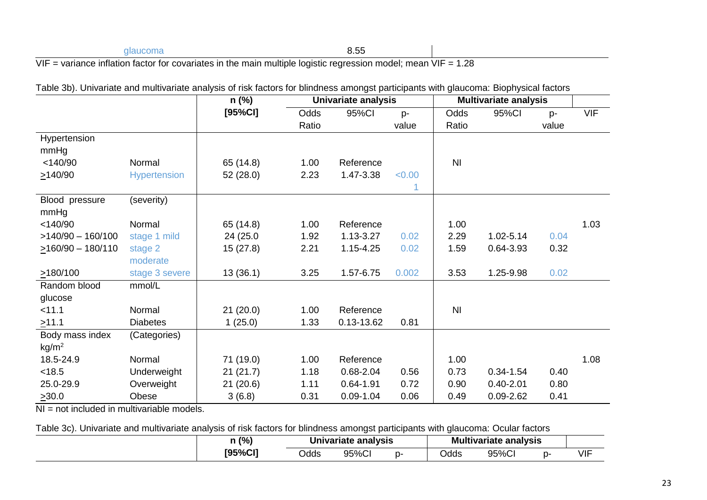# glaucoma 8.55  $VIF = variance$  inflation factor for covariates in the main multiple logistic regression model; mean  $VIF = 1.28$

|                         |                     | $n$ (%)   | <b>Univariate analysis</b> |               |        | <b>Multivariate analysis</b> |               |       |            |
|-------------------------|---------------------|-----------|----------------------------|---------------|--------|------------------------------|---------------|-------|------------|
|                         |                     | [95%CI]   | Odds                       | 95%CI         | $p-$   | Odds                         | 95%CI         | $p-$  | <b>VIF</b> |
|                         |                     |           | Ratio                      |               | value  | Ratio                        |               | value |            |
| Hypertension            |                     |           |                            |               |        |                              |               |       |            |
| mmHg                    |                     |           |                            |               |        |                              |               |       |            |
| $<$ 140/90              | Normal              | 65 (14.8) | 1.00                       | Reference     |        | N <sub>1</sub>               |               |       |            |
| $\geq$ 140/90           | <b>Hypertension</b> | 52(28.0)  | 2.23                       | 1.47-3.38     | < 0.00 |                              |               |       |            |
|                         |                     |           |                            |               | 1      |                              |               |       |            |
| Blood pressure          | (severity)          |           |                            |               |        |                              |               |       |            |
| mmHg                    |                     |           |                            |               |        |                              |               |       |            |
| $<$ 140/90              | Normal              | 65 (14.8) | 1.00                       | Reference     |        | 1.00                         |               |       | 1.03       |
| $>140/90 - 160/100$     | stage 1 mild        | 24 (25.0) | 1.92                       | 1.13-3.27     | 0.02   | 2.29                         | 1.02-5.14     | 0.04  |            |
| $\geq$ 160/90 - 180/110 | stage 2             | 15(27.8)  | 2.21                       | 1.15-4.25     | 0.02   | 1.59                         | 0.64-3.93     | 0.32  |            |
|                         | moderate            |           |                            |               |        |                              |               |       |            |
| $\geq$ 180/100          | stage 3 severe      | 13(36.1)  | 3.25                       | 1.57-6.75     | 0.002  | 3.53                         | 1.25-9.98     | 0.02  |            |
| Random blood            | mmol/L              |           |                            |               |        |                              |               |       |            |
| glucose                 |                     |           |                            |               |        |                              |               |       |            |
| < 11.1                  | Normal              | 21(20.0)  | 1.00                       | Reference     |        | N <sub>l</sub>               |               |       |            |
| $\geq 11.1$             | <b>Diabetes</b>     | 1(25.0)   | 1.33                       | 0.13-13.62    | 0.81   |                              |               |       |            |
| Body mass index         | (Categories)        |           |                            |               |        |                              |               |       |            |
| kg/m <sup>2</sup>       |                     |           |                            |               |        |                              |               |       |            |
| 18.5-24.9               | Normal              | 71 (19.0) | 1.00                       | Reference     |        | 1.00                         |               |       | 1.08       |
| < 18.5                  | Underweight         | 21(21.7)  | 1.18                       | 0.68-2.04     | 0.56   | 0.73                         | $0.34 - 1.54$ | 0.40  |            |
| 25.0-29.9               | Overweight          | 21(20.6)  | 1.11                       | $0.64 - 1.91$ | 0.72   | 0.90                         | $0.40 - 2.01$ | 0.80  |            |
| $\geq 30.0$             | Obese               | 3(6.8)    | 0.31                       | $0.09 - 1.04$ | 0.06   | 0.49                         | $0.09 - 2.62$ | 0.41  |            |

Table 3b). Univariate and multivariate analysis of risk factors for blindness amongst participants with glaucoma: Biophysical factors

NI = not included in multivariable models.

Table 3c). Univariate and multivariate analysis of risk factors for blindness amongst participants with glaucoma: Ocular factors

| በ (%)                   |      | analysis<br>Jnivariate | . .<br>ıltıvarıate<br>MU |       |  |            |
|-------------------------|------|------------------------|--------------------------|-------|--|------------|
| <b>TQ5%CI1</b><br>احاه7 | Jdds | 95%CI                  | Odds                     | 95%Cl |  | <b>VIF</b> |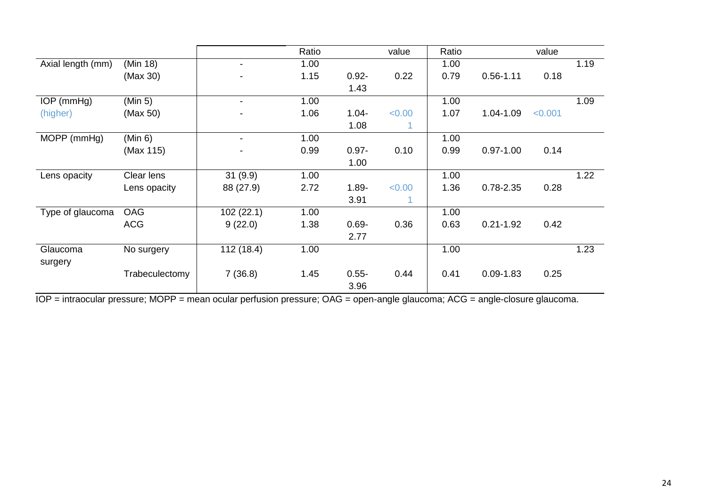|                   |                |                | Ratio |          | value  | Ratio |               | value   |      |
|-------------------|----------------|----------------|-------|----------|--------|-------|---------------|---------|------|
| Axial length (mm) | (Min 18)       | -              | 1.00  |          |        | 1.00  |               |         | 1.19 |
|                   | (Max 30)       |                | 1.15  | $0.92 -$ | 0.22   | 0.79  | $0.56 - 1.11$ | 0.18    |      |
|                   |                |                |       | 1.43     |        |       |               |         |      |
| IOP (mmHg)        | (Min 5)        |                | 1.00  |          |        | 1.00  |               |         | 1.09 |
| (higher)          | (Max 50)       |                | 1.06  | $1.04 -$ | < 0.00 | 1.07  | 1.04-1.09     | < 0.001 |      |
|                   |                |                |       | 1.08     | 1      |       |               |         |      |
| MOPP (mmHg)       | (Min 6)        | $\blacksquare$ | 1.00  |          |        | 1.00  |               |         |      |
|                   | (Max 115)      |                | 0.99  | $0.97 -$ | 0.10   | 0.99  | $0.97 - 1.00$ | 0.14    |      |
|                   |                |                |       | 1.00     |        |       |               |         |      |
| Lens opacity      | Clear lens     | 31(9.9)        | 1.00  |          |        | 1.00  |               |         | 1.22 |
|                   | Lens opacity   | 88 (27.9)      | 2.72  | $1.89 -$ | < 0.00 | 1.36  | $0.78 - 2.35$ | 0.28    |      |
|                   |                |                |       | 3.91     |        |       |               |         |      |
| Type of glaucoma  | <b>OAG</b>     | 102(22.1)      | 1.00  |          |        | 1.00  |               |         |      |
|                   | <b>ACG</b>     | 9(22.0)        | 1.38  | $0.69 -$ | 0.36   | 0.63  | $0.21 - 1.92$ | 0.42    |      |
|                   |                |                |       | 2.77     |        |       |               |         |      |
| Glaucoma          | No surgery     | 112 (18.4)     | 1.00  |          |        | 1.00  |               |         | 1.23 |
| surgery           |                |                |       |          |        |       |               |         |      |
|                   | Trabeculectomy | 7(36.8)        | 1.45  | $0.55 -$ | 0.44   | 0.41  | $0.09 - 1.83$ | 0.25    |      |
|                   |                |                |       | 3.96     |        |       |               |         |      |

IOP = intraocular pressure; MOPP = mean ocular perfusion pressure; OAG = open-angle glaucoma; ACG = angle-closure glaucoma.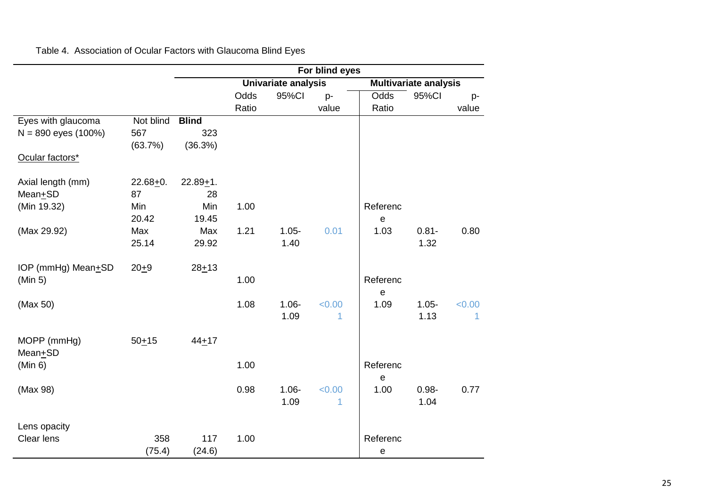|  | Table 4. Association of Ocular Factors with Glaucoma Blind Eyes |  |  |  |  |  |
|--|-----------------------------------------------------------------|--|--|--|--|--|
|--|-----------------------------------------------------------------|--|--|--|--|--|

|                                             |              |               |       |                     | For blind eyes |                           |                              |        |
|---------------------------------------------|--------------|---------------|-------|---------------------|----------------|---------------------------|------------------------------|--------|
|                                             |              |               |       | Univariate analysis |                |                           | <b>Multivariate analysis</b> |        |
|                                             |              |               | Odds  | 95%CI               | p-             | Odds                      | 95%Cl                        | p-     |
|                                             | Not blind    | <b>Blind</b>  | Ratio |                     | value          | Ratio                     |                              | value  |
| Eyes with glaucoma<br>$N = 890$ eyes (100%) | 567          | 323           |       |                     |                |                           |                              |        |
|                                             | (63.7%)      | (36.3%)       |       |                     |                |                           |                              |        |
| Ocular factors*                             |              |               |       |                     |                |                           |                              |        |
| Axial length (mm)                           | $22.68 + 0.$ | $22.89 + 1$ . |       |                     |                |                           |                              |        |
| Mean+SD                                     | 87           | 28            |       |                     |                |                           |                              |        |
| (Min 19.32)                                 | Min          | Min           | 1.00  |                     |                | Referenc                  |                              |        |
|                                             | 20.42        | 19.45         |       |                     |                | e                         |                              |        |
| (Max 29.92)                                 | Max          | Max           | 1.21  | $1.05 -$            | 0.01           | 1.03                      | $0.81 -$                     | 0.80   |
|                                             | 25.14        | 29.92         |       | 1.40                |                |                           | 1.32                         |        |
| IOP (mmHg) Mean+SD                          | $20 + 9$     | $28 + 13$     |       |                     |                |                           |                              |        |
| (Min 5)                                     |              |               | 1.00  |                     |                | Referenc                  |                              |        |
| (Max 50)                                    |              |               | 1.08  | $1.06 -$            | < 0.00         | $\mathbf e$<br>1.09       | $1.05 -$                     | < 0.00 |
|                                             |              |               |       | 1.09                | 1              |                           | 1.13                         | 1      |
| MOPP (mmHg)                                 | $50 + 15$    | $44 + 17$     |       |                     |                |                           |                              |        |
| Mean <sup>+</sup> SD                        |              |               |       |                     |                |                           |                              |        |
| (Min 6)                                     |              |               | 1.00  |                     |                | Referenc                  |                              |        |
|                                             |              |               |       |                     |                | $\mathbf e$               |                              |        |
| (Max 98)                                    |              |               | 0.98  | $1.06 -$            | < 0.00         | 1.00                      | $0.98 -$                     | 0.77   |
|                                             |              |               |       | 1.09                | 1              |                           | 1.04                         |        |
| Lens opacity                                |              |               |       |                     |                |                           |                              |        |
| Clear lens                                  | 358          | 117           | 1.00  |                     |                | Referenc                  |                              |        |
|                                             | (75.4)       | (24.6)        |       |                     |                | $\boldsymbol{\mathsf{e}}$ |                              |        |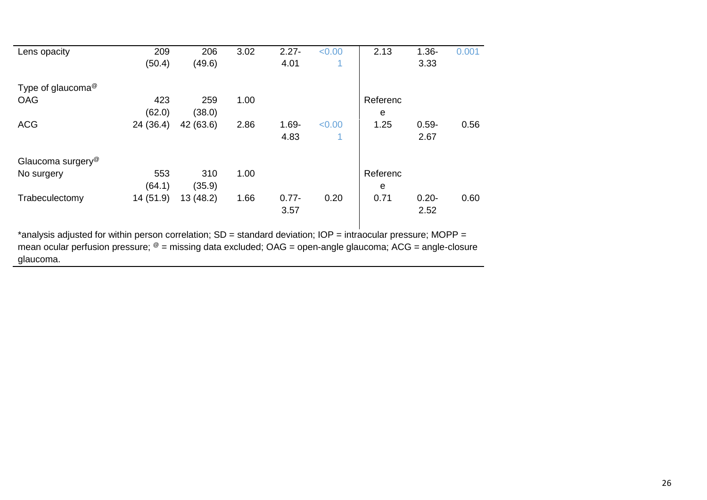| Lens opacity                                                                                                                             | 209       | 206       | 3.02 | $2.27 -$ | < 0.00 | 2.13     | $1.36 -$ | 0.001 |
|------------------------------------------------------------------------------------------------------------------------------------------|-----------|-----------|------|----------|--------|----------|----------|-------|
|                                                                                                                                          | (50.4)    | (49.6)    |      | 4.01     | 1      |          | 3.33     |       |
| Type of glaucoma <sup>@</sup>                                                                                                            |           |           |      |          |        |          |          |       |
| <b>OAG</b>                                                                                                                               | 423       | 259       | 1.00 |          |        | Referenc |          |       |
|                                                                                                                                          | (62.0)    | (38.0)    |      |          |        | e        |          |       |
| <b>ACG</b>                                                                                                                               | 24 (36.4) | 42 (63.6) | 2.86 | $1.69 -$ | < 0.00 | 1.25     | $0.59 -$ | 0.56  |
|                                                                                                                                          |           |           |      | 4.83     | 1      |          | 2.67     |       |
| Glaucoma surgery <sup>@</sup>                                                                                                            |           |           |      |          |        |          |          |       |
| No surgery                                                                                                                               | 553       | 310       | 1.00 |          |        | Referenc |          |       |
|                                                                                                                                          | (64.1)    | (35.9)    |      |          |        | e        |          |       |
| Trabeculectomy                                                                                                                           | 14 (51.9) | 13(48.2)  | 1.66 | $0.77 -$ | 0.20   | 0.71     | $0.20 -$ | 0.60  |
|                                                                                                                                          |           |           |      | 3.57     |        |          | 2.52     |       |
| $*$ gookeele odiusted for within person escrelation: $CD =$ stepderd deviation: $\overline{OD} =$ intressular preseurs: $\overline{MOD}$ |           |           |      |          |        |          |          |       |

\*analysis adjusted for within person correlation; SD = standard deviation; IOP = intraocular pressure; MOPP = mean ocular perfusion pressure;  $^{\circledast}$  = missing data excluded; OAG = open-angle glaucoma; ACG = angle-closure glaucoma.